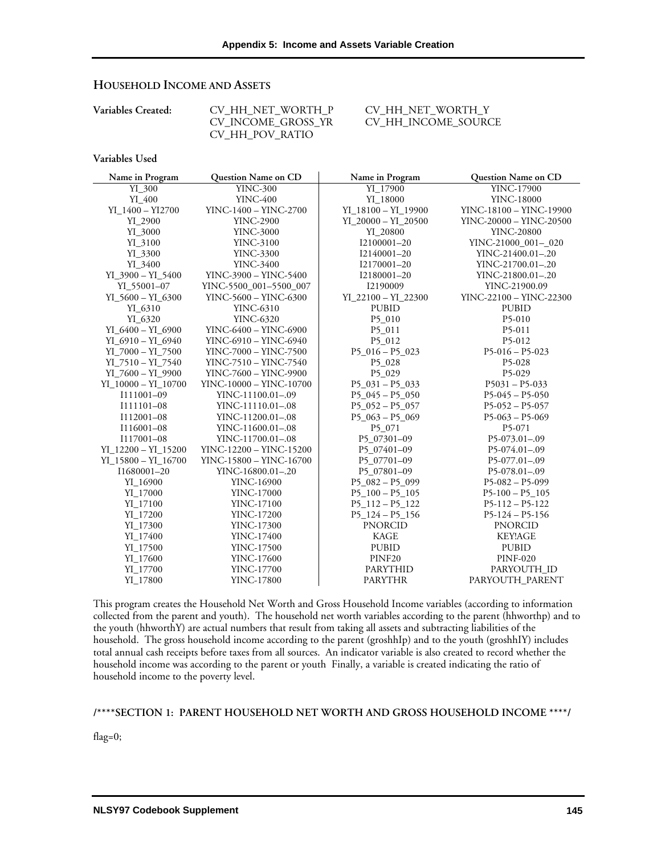# **HOUSEHOLD INCOME AND ASSETS**

| $\cup$ , $\cdots$ , $\cup$ , $\cdots$ , $\cup$ , $\cdots$ , $\cdots$ |  |
|----------------------------------------------------------------------|--|
| CV INCOME GROSS YR                                                   |  |
| CV HH POV RATIO                                                      |  |

**Variables Created:** CV\_HH\_NET\_WORTH\_P CV\_HH\_NET\_WORTH\_Y CV\_HH\_INCOME\_SOURCE

## **Variables Used**

| Name in Program         | Question Name on CD     | Name in Program         | Question Name on CD     |
|-------------------------|-------------------------|-------------------------|-------------------------|
| YI 300                  | <b>YINC-300</b>         | YI_17900                | YINC-17900              |
| $YI_400$                | <b>YINC-400</b>         | YI_18000                | <b>YINC-18000</b>       |
| YI_1400 - YI2700        | YINC-1400 - YINC-2700   | YI_18100 - YI_19900     | YINC-18100 - YINC-19900 |
| YI 2900                 | <b>YINC-2900</b>        | $YI$ 20000 - $YI$ 20500 | YINC-20000 - YINC-20500 |
| YI_3000                 | <b>YINC-3000</b>        | YI 20800                | <b>YINC-20800</b>       |
| YI_3100                 | <b>YINC-3100</b>        | I2100001-20             | YINC-21000_001-_020     |
| YI_3300                 | <b>YINC-3300</b>        | I2140001-20             | YINC-21400.01-.20       |
| YI 3400                 | <b>YINC-3400</b>        | I2170001-20             | YINC-21700.01-.20       |
| $YI$ 3900 - $YI$ 5400   | YINC-3900 - YINC-5400   | I2180001-20             | YINC-21800.01-.20       |
| YI 55001-07             | YINC-5500 001-5500 007  | I2190009                | YINC-21900.09           |
| $YI$ 5600 - $YI$ 6300   | YINC-5600 - YINC-6300   | $YI_22100 - YI_22300$   | YINC-22100 - YINC-22300 |
| YI_6310                 | YINC-6310               | <b>PUBID</b>            | <b>PUBID</b>            |
| YI 6320                 | <b>YINC-6320</b>        | P5_010                  | P5-010                  |
| YI $6400 - YI$ 6900     | YINC-6400 - YINC-6900   | P5_011                  | P5-011                  |
| YI $6910 - YI$ 6940     | YINC-6910 - YINC-6940   | P5 012                  | P5-012                  |
| $YI_7000 - YI_7500$     | YINC-7000 - YINC-7500   | $P5_016 - P5_023$       | $P5-016 - P5-023$       |
| $YI_7510 - YI_7540$     | YINC-7510 - YINC-7540   | P5_028                  | P5-028                  |
| $YI_7600 - YI_9900$     | YINC-7600 - YINC-9900   | P5_029                  | P5-029                  |
| $YI$ 10000 - $YI$ 10700 | YINC-10000 - YINC-10700 | $P5031 - P5033$         | $P5031 - P5-033$        |
| I111001-09              | YINC-11100.01-.09       | $P5_045 - P5_050$       | $P5-045 - P5-050$       |
| I111101-08              | YINC-11110.01-.08       | $P5 \t052 - P5 \t057$   | $P5-052 - P5-057$       |
| I112001-08              | YINC-11200.01-.08       | $P5_063 - P5_069$       | $P5-063 - P5-069$       |
| I116001-08              | YINC-11600.01-.08       | P5 071                  | P5-071                  |
| I117001-08              | YINC-11700.01-.08       | P5 07301-09             | $P5-073.01-.09$         |
| $YI_12200 - YI_15200$   | YINC-12200 - YINC-15200 | P5_07401-09             | $P5-074.01-09$          |
| $YI_15800 - YI_16700$   | YINC-15800 - YINC-16700 | P5_07701-09             | $P5-077.01-09$          |
| I1680001-20             | YINC-16800.01-.20       | P5 07801-09             | $P5-078.01-09$          |
| YI_16900                | YINC-16900              | $P5082 - P5099$         | $P5-082 - P5-099$       |
| YI_17000                | YINC-17000              | $P5_100 - P5_105$       | $P5-100-P5-105$         |
| YI 17100                | <b>YINC-17100</b>       | P5 112 - P5 122         | $P5-112 - P5-122$       |
| YI 17200                | <b>YINC-17200</b>       | $P5$ 124 - $P5$ 156     | $P5-124 - P5-156$       |
| $YI_17300$              | YINC-17300              | <b>PNORCID</b>          | <b>PNORCID</b>          |
| YI 17400                | YINC-17400              | <b>KAGE</b>             | <b>KEY!AGE</b>          |
| YI_17500                | <b>YINC-17500</b>       | <b>PUBID</b>            | <b>PUBID</b>            |
| YI_17600                | YINC-17600              | PINF20                  | <b>PINF-020</b>         |
| YI 17700                | <b>YINC-17700</b>       | <b>PARYTHID</b>         | PARYOUTH ID             |
| YI_17800                | <b>YINC-17800</b>       | <b>PARYTHR</b>          | PARYOUTH_PARENT         |

This program creates the Household Net Worth and Gross Household Income variables (according to information collected from the parent and youth). The household net worth variables according to the parent (hhworthp) and to the youth (hhworthY) are actual numbers that result from taking all assets and subtracting liabilities of the household. The gross household income according to the parent (groshhIp) and to the youth (groshhIY) includes total annual cash receipts before taxes from all sources. An indicator variable is also created to record whether the household income was according to the parent or youth Finally, a variable is created indicating the ratio of household income to the poverty level.

# **/\*\*\*\*SECTION 1: PARENT HOUSEHOLD NET WORTH AND GROSS HOUSEHOLD INCOME \*\*\*\*/**

flag=0;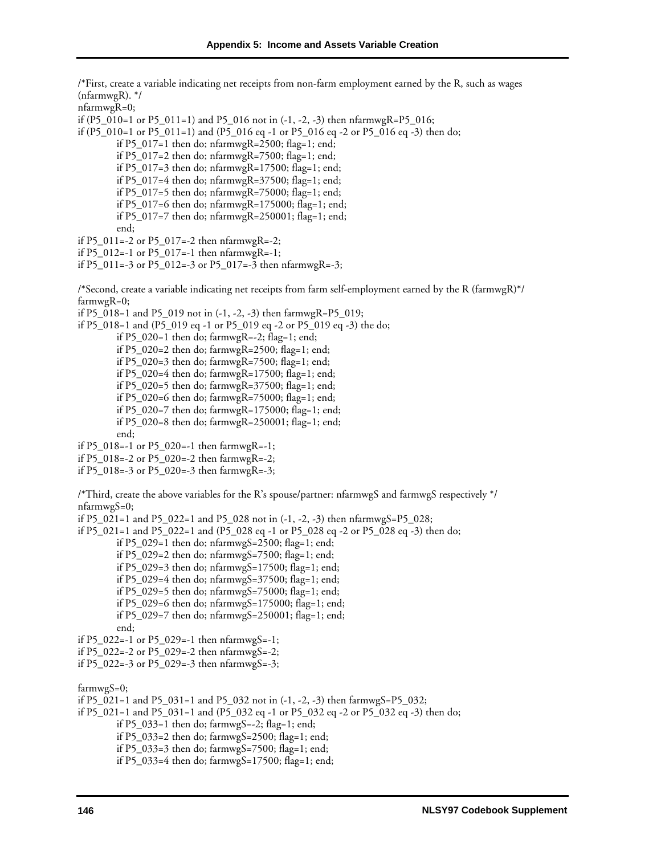/\*First, create a variable indicating net receipts from non-farm employment earned by the R, such as wages (nfarmwgR). \*/ nfarmwgR=0; if (P5\_010=1 or P5\_011=1) and P5\_016 not in  $(-1, -2, -3)$  then nfarmwgR=P5\_016; if (P5\_010=1 or P5\_011=1) and (P5\_016 eq -1 or P5\_016 eq -2 or P5\_016 eq -3) then do; if P5\_017=1 then do; nfarmwgR=2500; flag=1; end; if P5\_017=2 then do; nfarmwgR=7500; flag=1; end; if P5\_017=3 then do; nfarmwgR=17500; flag=1; end; if P5\_017=4 then do; nfarmwgR=37500; flag=1; end; if P5\_017=5 then do; nfarmwgR=75000; flag=1; end; if P5\_017=6 then do; nfarmwgR=175000; flag=1; end; if P5\_017=7 then do; nfarmwgR=250001; flag=1; end; end; if P5\_011=-2 or P5\_017=-2 then nfarmwgR=-2; if P5\_012=-1 or P5\_017=-1 then nfarmwgR=-1; if P5\_011=-3 or P5\_012=-3 or P5\_017=-3 then nfarmwgR=-3; /\*Second, create a variable indicating net receipts from farm self-employment earned by the R (farmwgR)\*/ farmwgR=0; if P5\_018=1 and P5\_019 not in (-1, -2, -3) then farmwgR=P5\_019; if P5\_018=1 and (P5\_019 eq -1 or P5\_019 eq -2 or P5\_019 eq -3) the do; if P5\_020=1 then do; farmwgR=-2; flag=1; end; if P5\_020=2 then do; farmwgR=2500; flag=1; end; if P5\_020=3 then do; farmwgR=7500; flag=1; end; if P5\_020=4 then do; farmwgR=17500; flag=1; end; if P5\_020=5 then do; farmwgR=37500; flag=1; end; if P5\_020=6 then do; farmwgR=75000; flag=1; end; if P5\_020=7 then do; farmwgR=175000; flag=1; end; if P5\_020=8 then do; farmwgR=250001; flag=1; end; end; if P5\_018=-1 or P5\_020=-1 then farmwgR=-1; if P5\_018=-2 or P5\_020=-2 then farmwgR=-2; if P5\_018=-3 or P5\_020=-3 then farmwgR=-3; /\*Third, create the above variables for the R's spouse/partner: nfarmwgS and farmwgS respectively \*/ nfarmwgS=0; if P5\_021=1 and P5\_022=1 and P5\_028 not in (-1, -2, -3) then nfarmwgS=P5\_028; if P5\_021=1 and P5\_022=1 and (P5\_028 eq -1 or P5\_028 eq -2 or P5\_028 eq -3) then do; if  $P5_029=1$  then do; nfarmwg $S=2500$ ; flag=1; end; if P5\_029=2 then do; nfarmwgS=7500; flag=1; end; if P5\_029=3 then do; nfarmwgS=17500; flag=1; end; if P5\_029=4 then do; nfarmwgS=37500; flag=1; end; if P5\_029=5 then do; nfarmwgS=75000; flag=1; end; if P5\_029=6 then do; nfarmwgS=175000; flag=1; end; if P5\_029=7 then do; nfarmwgS=250001; flag=1; end; end; if P5\_022=-1 or P5\_029=-1 then nfarmwgS=-1; if P5\_022=-2 or P5\_029=-2 then nfarmwgS=-2; if P5\_022=-3 or P5\_029=-3 then nfarmwgS=-3; farmwgS=0; if P5\_021=1 and P5\_031=1 and P5\_032 not in (-1, -2, -3) then farmwgS=P5\_032; if P5\_021=1 and P5\_031=1 and (P5\_032 eq -1 or P5\_032 eq -2 or P5\_032 eq -3) then do; if P5\_033=1 then do; farmwgS=-2; flag=1; end; if P5\_033=2 then do; farmwgS=2500; flag=1; end; if P5\_033=3 then do; farmwgS=7500; flag=1; end; if P5\_033=4 then do; farmwgS=17500; flag=1; end;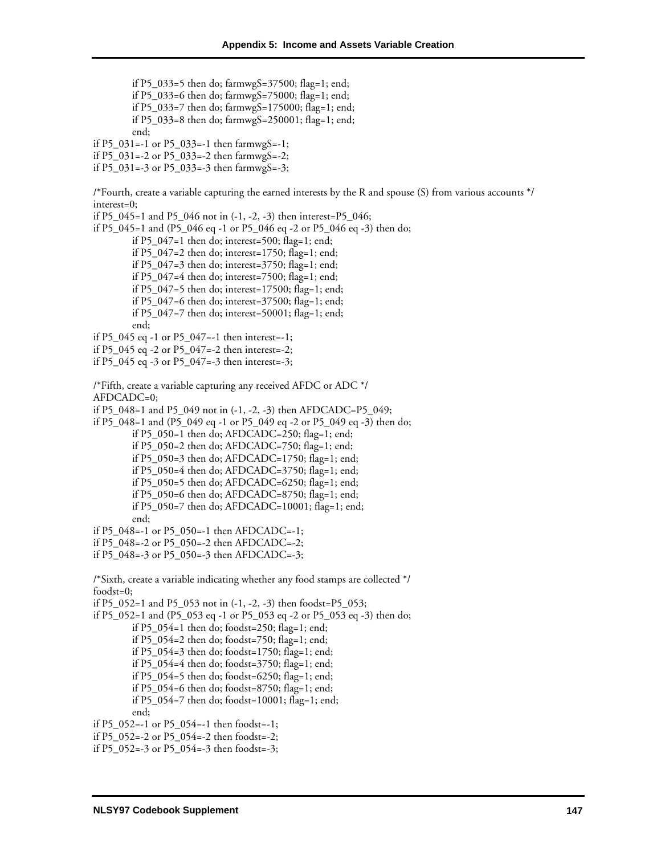if P5\_033=5 then do; farmwgS=37500; flag=1; end; if P5\_033=6 then do; farmwgS=75000; flag=1; end; if P5\_033=7 then do; farmwgS=175000; flag=1; end; if P5\_033=8 then do; farmwgS=250001; flag=1; end; end; if P5\_031=-1 or P5\_033=-1 then farmwgS=-1; if P5\_031=-2 or P5\_033=-2 then farmwgS=-2; if P5\_031=-3 or P5\_033=-3 then farmwgS=-3; /\*Fourth, create a variable capturing the earned interests by the R and spouse (S) from various accounts \*/ interest=0; if P5\_045=1 and P5\_046 not in (-1, -2, -3) then interest=P5\_046; if P5\_045=1 and (P5\_046 eq -1 or P5\_046 eq -2 or P5\_046 eq -3) then do; if  $P5_047=1$  then do; interest=500; flag=1; end; if  $P5_047=2$  then do; interest=1750; flag=1; end; if P5\_047=3 then do; interest=3750; flag=1; end; if P5\_047=4 then do; interest=7500; flag=1; end; if P5\_047=5 then do; interest=17500; flag=1; end; if P5\_047=6 then do; interest=37500; flag=1; end; if P5\_047=7 then do; interest=50001; flag=1; end; end; if P5\_045 eq -1 or P5\_047=-1 then interest=-1; if P5\_045 eq -2 or P5\_047=-2 then interest=-2; if P5\_045 eq -3 or P5\_047=-3 then interest=-3; /\*Fifth, create a variable capturing any received AFDC or ADC \*/ AFDCADC=0; if P5\_048=1 and P5\_049 not in (-1, -2, -3) then AFDCADC=P5\_049; if P5\_048=1 and (P5\_049 eq -1 or P5\_049 eq -2 or P5\_049 eq -3) then do; if P5\_050=1 then do; AFDCADC=250; flag=1; end; if P5\_050=2 then do; AFDCADC=750; flag=1; end; if P5\_050=3 then do; AFDCADC=1750; flag=1; end; if P5\_050=4 then do; AFDCADC=3750; flag=1; end; if P5\_050=5 then do; AFDCADC=6250; flag=1; end; if P5\_050=6 then do; AFDCADC=8750; flag=1; end; if P5\_050=7 then do; AFDCADC=10001; flag=1; end; end; if P5\_048=-1 or P5\_050=-1 then AFDCADC=-1; if P5\_048=-2 or P5\_050=-2 then AFDCADC=-2; if P5\_048=-3 or P5\_050=-3 then AFDCADC=-3; /\*Sixth, create a variable indicating whether any food stamps are collected \*/ foodst=0; if P5\_052=1 and P5\_053 not in (-1, -2, -3) then foodst=P5\_053; if P5\_052=1 and (P5\_053 eq -1 or P5\_053 eq -2 or P5\_053 eq -3) then do; if P5\_054=1 then do; foodst=250; flag=1; end; if P5\_054=2 then do; foodst=750; flag=1; end; if P5\_054=3 then do; foodst=1750; flag=1; end; if P5\_054=4 then do; foodst=3750; flag=1; end; if P5\_054=5 then do; foodst=6250; flag=1; end; if P5\_054=6 then do; foodst=8750; flag=1; end; if P5\_054=7 then do; foodst=10001; flag=1; end; end; if P5\_052=-1 or P5\_054=-1 then foodst=-1; if P5\_052=-2 or P5\_054=-2 then foodst=-2; if P5\_052=-3 or P5\_054=-3 then foodst=-3;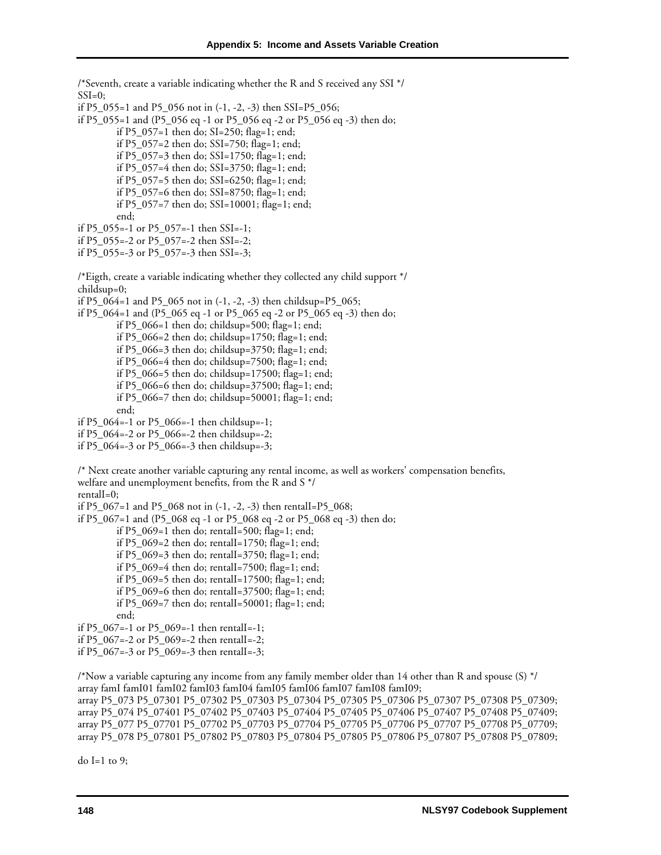/\*Seventh, create a variable indicating whether the R and S received any SSI \*/  $SSI=0;$ if P5\_055=1 and P5\_056 not in (-1, -2, -3) then SSI=P5\_056; if P5\_055=1 and (P5\_056 eq -1 or P5\_056 eq -2 or P5\_056 eq -3) then do; if P5\_057=1 then do; SI=250; flag=1; end; if P5\_057=2 then do; SSI=750; flag=1; end; if P5\_057=3 then do; SSI=1750; flag=1; end; if P5\_057=4 then do; SSI=3750; flag=1; end; if P5\_057=5 then do; SSI=6250; flag=1; end; if P5\_057=6 then do; SSI=8750; flag=1; end; if P5\_057=7 then do; SSI=10001; flag=1; end; end; if P5\_055=-1 or P5\_057=-1 then SSI=-1; if P5\_055=-2 or P5\_057=-2 then SSI=-2; if P5\_055=-3 or P5\_057=-3 then SSI=-3; /\*Eigth, create a variable indicating whether they collected any child support \*/ childsup=0; if P5\_064=1 and P5\_065 not in (-1, -2, -3) then childsup=P5\_065; if P5\_064=1 and (P5\_065 eq -1 or P5\_065 eq -2 or P5\_065 eq -3) then do; if P5\_066=1 then do; childsup=500; flag=1; end; if P5\_066=2 then do; childsup=1750; flag=1; end; if P5\_066=3 then do; childsup=3750; flag=1; end; if P5\_066=4 then do; childsup=7500; flag=1; end; if P5\_066=5 then do; childsup=17500; flag=1; end; if P5\_066=6 then do; childsup=37500; flag=1; end; if P5\_066=7 then do; childsup=50001; flag=1; end; end; if P5\_064=-1 or P5\_066=-1 then childsup=-1; if P5\_064=-2 or P5\_066=-2 then childsup=-2; if P5\_064=-3 or P5\_066=-3 then childsup=-3; /\* Next create another variable capturing any rental income, as well as workers' compensation benefits, welfare and unemployment benefits, from the R and S \*/ rentalI=0; if P5\_067=1 and P5\_068 not in  $(-1, -2, -3)$  then rentalI=P5\_068; if P5\_067=1 and (P5\_068 eq -1 or P5\_068 eq -2 or P5\_068 eq -3) then do; if  $P5_069=1$  then do; rentall=500; flag=1; end; if P5\_069=2 then do; rentalI=1750; flag=1; end; if P5\_069=3 then do; rentalI=3750; flag=1; end; if P5\_069=4 then do; rentalI=7500; flag=1; end; if P5\_069=5 then do; rentalI=17500; flag=1; end; if P5\_069=6 then do; rentalI=37500; flag=1; end; if P5\_069=7 then do; rentalI=50001; flag=1; end; end; if P5\_067=-1 or P5\_069=-1 then rentalI=-1; if P5\_067=-2 or P5\_069=-2 then rentalI=-2; if P5\_067=-3 or P5\_069=-3 then rentalI=-3; /\*Now a variable capturing any income from any family member older than 14 other than R and spouse (S) \*/ array famI famI01 famI02 famI03 famI04 famI05 famI06 famI07 famI08 famI09; array P5\_073 P5\_07301 P5\_07302 P5\_07303 P5\_07304 P5\_07305 P5\_07306 P5\_07307 P5\_07308 P5\_07309; array P5\_074 P5\_07401 P5\_07402 P5\_07403 P5\_07404 P5\_07405 P5\_07406 P5\_07407 P5\_07408 P5\_07409;

array P5\_077 P5\_07701 P5\_07702 P5\_07703 P5\_07704 P5\_07705 P5\_07706 P5\_07707 P5\_07708 P5\_07709; array P5\_078 P5\_07801 P5\_07802 P5\_07803 P5\_07804 P5\_07805 P5\_07806 P5\_07807 P5\_07808 P5\_07809;

do I=1 to 9;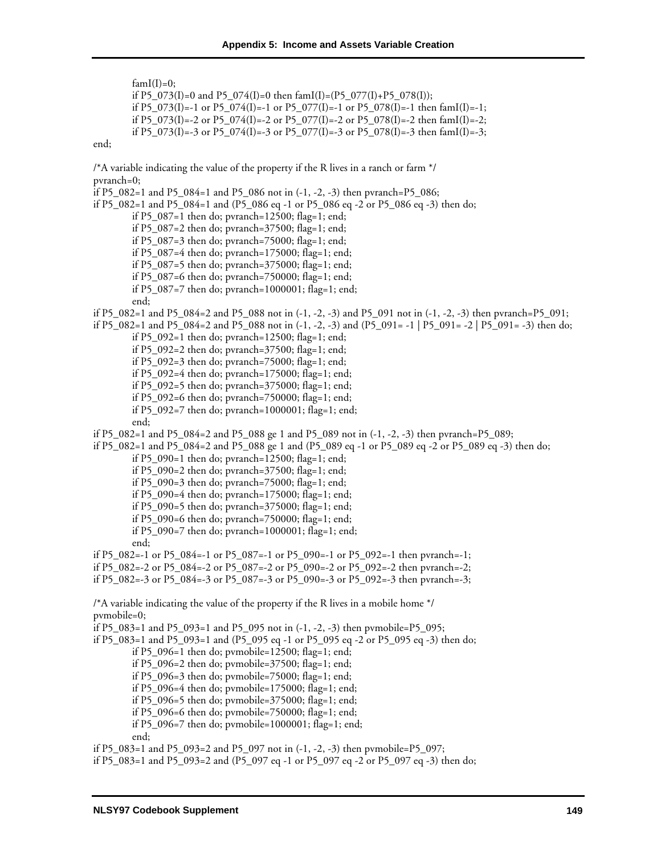$famI(I)=0;$ 

if P5\_073(I)=0 and P5\_074(I)=0 then famI(I)=(P5\_077(I)+P5\_078(I)); if P5\_073(I)=-1 or P5\_074(I)=-1 or P5\_077(I)=-1 or P5\_078(I)=-1 then famI(I)=-1; if P5\_073(I)=-2 or P5\_074(I)=-2 or P5\_077(I)=-2 or P5\_078(I)=-2 then famI(I)=-2; if P5\_073(I)=-3 or P5\_074(I)=-3 or P5\_077(I)=-3 or P5\_078(I)=-3 then famI(I)=-3;

end;

/\*A variable indicating the value of the property if the R lives in a ranch or farm \*/ pvranch=0;

if P5\_082=1 and P5\_084=1 and P5\_086 not in (-1, -2, -3) then pvranch=P5\_086;

if P5\_082=1 and P5\_084=1 and (P5\_086 eq -1 or P5\_086 eq -2 or P5\_086 eq -3) then do;

if P5\_087=1 then do; pvranch=12500; flag=1; end;

if P5\_087=2 then do; pvranch=37500; flag=1; end;

if P5\_087=3 then do; pvranch=75000; flag=1; end;

if P5\_087=4 then do; pvranch=175000; flag=1; end;

if P5\_087=5 then do; pvranch=375000; flag=1; end;

if P5\_087=6 then do; pvranch=750000; flag=1; end;

if P5\_087=7 then do; pvranch=1000001; flag=1; end;

end;

if P5\_082=1 and P5\_084=2 and P5\_088 not in (-1, -2, -3) and P5\_091 not in (-1, -2, -3) then pvranch=P5\_091;

if P5\_082=1 and P5\_084=2 and P5\_088 not in (-1, -2, -3) and (P5\_091= -1 | P5\_091= -2 | P5\_091= -3) then do;

if P5\_092=1 then do; pvranch=12500; flag=1; end;

if P5\_092=2 then do; pvranch=37500; flag=1; end;

if P5\_092=3 then do; pvranch=75000; flag=1; end;

if P5\_092=4 then do; pvranch=175000; flag=1; end;

if P5\_092=5 then do; pvranch=375000; flag=1; end;

if P5\_092=6 then do; pvranch=750000; flag=1; end;

if P5\_092=7 then do; pvranch=1000001; flag=1; end;

end;

if P5\_082=1 and P5\_084=2 and P5\_088 ge 1 and P5\_089 not in (-1, -2, -3) then pvranch=P5\_089;

if P5\_082=1 and P5\_084=2 and P5\_088 ge 1 and (P5\_089 eq -1 or P5\_089 eq -2 or P5\_089 eq -3) then do;

if P5\_090=1 then do; pvranch=12500; flag=1; end;

- if P5\_090=2 then do; pvranch=37500; flag=1; end;
- if P5\_090=3 then do; pvranch=75000; flag=1; end;

if P5\_090=4 then do; pvranch=175000; flag=1; end;

if P5\_090=5 then do; pvranch= $375000$ ; flag=1; end;

if P5\_090=6 then do; pvranch=750000; flag=1; end;

if P5\_090=7 then do; pvranch=1000001; flag=1; end; end;

if P5\_082=-1 or P5\_084=-1 or P5\_087=-1 or P5\_090=-1 or P5\_092=-1 then pvranch=-1;

if P5\_082=-2 or P5\_084=-2 or P5\_087=-2 or P5\_090=-2 or P5\_092=-2 then pvranch=-2;

if P5\_082=-3 or P5\_084=-3 or P5\_087=-3 or P5\_090=-3 or P5\_092=-3 then pvranch=-3;

/\*A variable indicating the value of the property if the R lives in a mobile home \*/ pvmobile=0;

if P5\_083=1 and P5\_093=1 and P5\_095 not in (-1, -2, -3) then pvmobile=P5\_095;

if P5\_083=1 and P5\_093=1 and (P5\_095 eq -1 or P5\_095 eq -2 or P5\_095 eq -3) then do;

if P5\_096=1 then do; pvmobile=12500; flag=1; end;

if P5\_096=2 then do; pvmobile=37500; flag=1; end;

if P5\_096=3 then do; pvmobile=75000; flag=1; end;

if P5\_096=4 then do; pvmobile=175000; flag=1; end;

if P5\_096=5 then do; pvmobile=375000; flag=1; end;

if P5\_096=6 then do; pvmobile=750000; flag=1; end;

if P5\_096=7 then do; pvmobile=1000001; flag=1; end;

end;

if P5\_083=1 and P5\_093=2 and P5\_097 not in (-1, -2, -3) then pvmobile=P5\_097; if P5\_083=1 and P5\_093=2 and (P5\_097 eq -1 or P5\_097 eq -2 or P5\_097 eq -3) then do;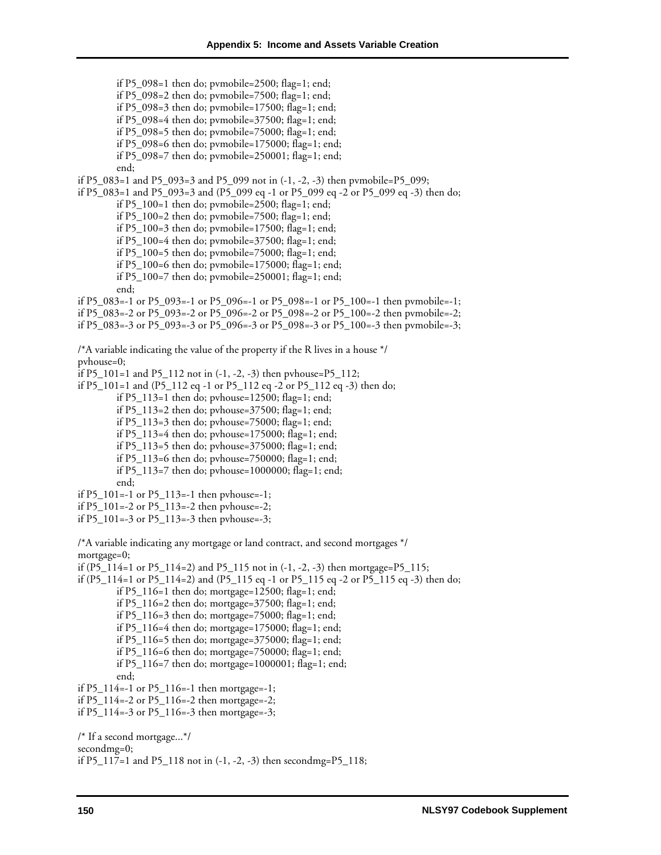if P5\_098=1 then do; pvmobile=2500; flag=1; end; if P5\_098=2 then do; pvmobile=7500; flag=1; end; if P5\_098=3 then do; pvmobile=17500; flag=1; end; if P5\_098=4 then do; pvmobile=37500; flag=1; end; if P5\_098=5 then do; pvmobile=75000; flag=1; end; if P5\_098=6 then do; pvmobile=175000; flag=1; end; if P5\_098=7 then do; pvmobile=250001; flag=1; end; end; if P5\_083=1 and P5\_093=3 and P5\_099 not in (-1, -2, -3) then pvmobile=P5\_099; if P5\_083=1 and P5\_093=3 and (P5\_099 eq -1 or P5\_099 eq -2 or P5\_099 eq -3) then do; if P5\_100=1 then do; pvmobile=2500; flag=1; end; if P5\_100=2 then do; pvmobile=7500; flag=1; end; if P5\_100=3 then do; pvmobile=17500; flag=1; end; if P5\_100=4 then do; pvmobile=37500; flag=1; end; if P5\_100=5 then do; pvmobile=75000; flag=1; end; if P5\_100=6 then do; pvmobile=175000; flag=1; end; if P5\_100=7 then do; pvmobile=250001; flag=1; end; end; if P5\_083=-1 or P5\_093=-1 or P5\_096=-1 or P5\_098=-1 or P5\_100=-1 then pvmobile=-1; if P5\_083=-2 or P5\_093=-2 or P5\_096=-2 or P5\_098=-2 or P5\_100=-2 then pvmobile=-2; if P5\_083=-3 or P5\_093=-3 or P5\_096=-3 or P5\_098=-3 or P5\_100=-3 then pvmobile=-3; /\*A variable indicating the value of the property if the R lives in a house \*/ pvhouse=0; if P5\_101=1 and P5\_112 not in (-1, -2, -3) then pvhouse=P5\_112; if P5\_101=1 and (P5\_112 eq -1 or P5\_112 eq -2 or P5\_112 eq -3) then do; if P5\_113=1 then do; pvhouse=12500; flag=1; end; if P5\_113=2 then do; pvhouse=37500; flag=1; end; if P5\_113=3 then do; pvhouse=75000; flag=1; end; if P5\_113=4 then do; pvhouse=175000; flag=1; end; if P5\_113=5 then do; pvhouse=375000; flag=1; end; if P5\_113=6 then do; pvhouse=750000; flag=1; end; if P5\_113=7 then do; pvhouse=1000000; flag=1; end; end; if P5\_101=-1 or P5\_113=-1 then pvhouse=-1; if P5  $101=-2$  or P5  $113=-2$  then pvhouse=-2; if P5\_101=-3 or P5\_113=-3 then pvhouse=-3; /\*A variable indicating any mortgage or land contract, and second mortgages \*/ mortgage=0; if (P5\_114=1 or P5\_114=2) and P5\_115 not in (-1, -2, -3) then mortgage=P5\_115; if (P5\_114=1 or P5\_114=2) and (P5\_115 eq -1 or P5\_115 eq -2 or P5\_115 eq -3) then do; if P5\_116=1 then do; mortgage=12500; flag=1; end; if P5\_116=2 then do; mortgage=37500; flag=1; end; if P5\_116=3 then do; mortgage=75000; flag=1; end; if P5\_116=4 then do; mortgage=175000; flag=1; end; if P5\_116=5 then do; mortgage=375000; flag=1; end; if P5\_116=6 then do; mortgage=750000; flag=1; end; if P5\_116=7 then do; mortgage=1000001; flag=1; end; end; if P5\_114=-1 or P5\_116=-1 then mortgage=-1; if P5\_114=-2 or P5\_116=-2 then mortgage=-2; if P5\_114=-3 or P5\_116=-3 then mortgage=-3; /\* If a second mortgage...\*/

secondmg=0;

if P5\_117=1 and P5\_118 not in (-1, -2, -3) then secondmg=P5\_118;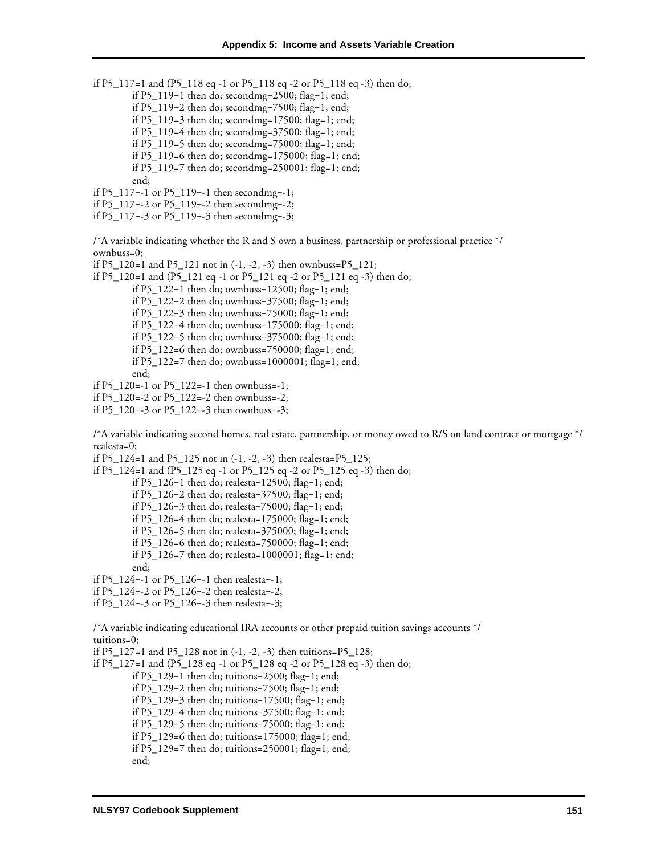if P5\_117=1 and (P5\_118 eq -1 or P5\_118 eq -2 or P5\_118 eq -3) then do;

- if P5\_119=1 then do; secondmg=2500; flag=1; end;
- if P5\_119=2 then do; secondmg=7500; flag=1; end;
- if P5\_119=3 then do; secondmg=17500; flag=1; end;
- if P5\_119=4 then do; secondmg=37500; flag=1; end;
- if P5\_119=5 then do; secondmg=75000; flag=1; end;
- if P5\_119=6 then do; secondmg=175000; flag=1; end;
- if P5\_119=7 then do; secondmg=250001; flag=1; end;

```
end;
```
- if P5\_117=-1 or P5\_119=-1 then secondmg=-1;
- if P5\_117=-2 or P5\_119=-2 then secondmg=-2;
- if P5\_117=-3 or P5\_119=-3 then secondmg=-3;

/\*A variable indicating whether the R and S own a business, partnership or professional practice \*/ ownbuss=0;

- if P5\_120=1 and P5\_121 not in  $(-1, -2, -3)$  then ownbuss=P5\_121;
- if P5\_120=1 and (P5\_121 eq -1 or P5\_121 eq -2 or P5\_121 eq -3) then do;
	- if P5\_122=1 then do; ownbuss=12500; flag=1; end;
	- if P5\_122=2 then do; ownbuss=37500; flag=1; end;
	- if P5\_122=3 then do; ownbuss=75000; flag=1; end;
	- if P5\_122=4 then do; ownbuss=175000; flag=1; end;
	- if P5\_122=5 then do; ownbuss=375000; flag=1; end;
	- if P5\_122=6 then do; ownbuss=750000; flag=1; end;
	- if P5\_122=7 then do; ownbuss=1000001; flag=1; end;

end;

- if P5\_120=-1 or P5\_122=-1 then ownbuss=-1;
- if P5\_120=-2 or P5\_122=-2 then ownbuss=-2;
- if P5\_120=-3 or P5\_122=-3 then ownbuss=-3;

/\*A variable indicating second homes, real estate, partnership, or money owed to R/S on land contract or mortgage \*/ realesta=0;

if P5\_124=1 and P5\_125 not in  $(-1, -2, -3)$  then realesta=P5\_125;

- if P5\_124=1 and (P5\_125 eq -1 or P5\_125 eq -2 or P5\_125 eq -3) then do;
	- if P5\_126=1 then do; realesta=12500; flag=1; end;
	- if P5\_126=2 then do; realesta=37500; flag=1; end;
	- if P5\_126=3 then do; realesta=75000; flag=1; end;
	- if P5\_126=4 then do; realesta=175000; flag=1; end;
	- if P5\_126=5 then do; realesta=375000; flag=1; end;
	- if P5\_126=6 then do; realesta=750000; flag=1; end;
	- if P5\_126=7 then do; realesta=1000001; flag=1; end;
- end;
- if P5\_124=-1 or P5\_126=-1 then realesta=-1;
- if P5\_124=-2 or P5\_126=-2 then realesta=-2;
- if P5\_124=-3 or P5\_126=-3 then realesta=-3;

/\*A variable indicating educational IRA accounts or other prepaid tuition savings accounts \*/ tuitions=0;

if P5\_127=1 and P5\_128 not in (-1, -2, -3) then tuitions=P5\_128;

- if P5\_127=1 and (P5\_128 eq -1 or P5\_128 eq -2 or P5\_128 eq -3) then do;
	- if P5\_129=1 then do; tuitions=2500; flag=1; end;
	- if P5\_129=2 then do; tuitions=7500; flag=1; end;
	- if P5\_129=3 then do; tuitions=17500; flag=1; end;
	- if P5\_129=4 then do; tuitions=37500; flag=1; end;
	- if P5\_129=5 then do; tuitions=75000; flag=1; end;
	- if P5\_129=6 then do; tuitions=175000; flag=1; end;
	- if P5\_129=7 then do; tuitions=250001; flag=1; end;
	- end;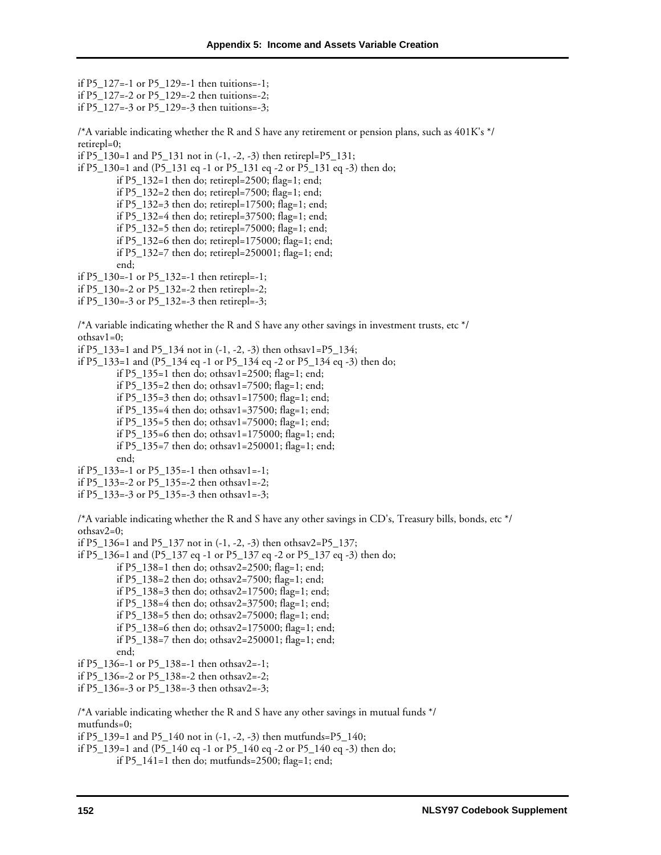if P5\_127=-1 or P5\_129=-1 then tuitions=-1; if P5\_127=-2 or P5\_129=-2 then tuitions=-2;

if P5\_127=-3 or P5\_129=-3 then tuitions=-3;

/\*A variable indicating whether the R and S have any retirement or pension plans, such as 401K's \*/ retirepl=0;

if P5  $130=1$  and P5  $131$  not in (-1, -2, -3) then retirepl=P5  $131$ ;

if P5\_130=1 and (P5\_131 eq -1 or P5\_131 eq -2 or P5\_131 eq -3) then do;

if P5\_132=1 then do; retirepl=2500; flag=1; end;

if P5\_132=2 then do; retirepl=7500; flag=1; end;

if P5\_132=3 then do; retirepl=17500; flag=1; end;

if P5\_132=4 then do; retirepl=37500; flag=1; end;

- if P5\_132=5 then do; retirepl=75000; flag=1; end;
- if P5\_132=6 then do; retirepl=175000; flag=1; end;
- if P5\_132=7 then do; retirepl=250001; flag=1; end;

end;

if P5\_130=-1 or P5\_132=-1 then retirepl=-1;

if P5\_130=-2 or P5\_132=-2 then retirepl=-2;

if P5\_130=-3 or P5\_132=-3 then retirepl=-3;

 $/AA$  variable indicating whether the R and S have any other savings in investment trusts, etc  $*/$ othsav1=0;

if P5\_133=1 and P5\_134 not in (-1, -2, -3) then othsav1=P5\_134;

if P5\_133=1 and (P5\_134 eq -1 or P5\_134 eq -2 or P5\_134 eq -3) then do;

if P5\_135=1 then do; othsav1=2500; flag=1; end;

if P5\_135=2 then do; othsav1=7500; flag=1; end;

if P5\_135=3 then do; othsav1=17500; flag=1; end;

if P5\_135=4 then do; othsav1=37500; flag=1; end;

if P5\_135=5 then do; othsav1=75000; flag=1; end;

if P5\_135=6 then do; othsav1=175000; flag=1; end;

if P5\_135=7 then do; othsav1=250001; flag=1; end;

end;

if P5  $133=-1$  or P5  $135=-1$  then othsav1=-1;

if P5\_133=-2 or P5\_135=-2 then othsav1=-2;

if P5\_133=-3 or P5\_135=-3 then othsav1=-3;

/\*A variable indicating whether the R and S have any other savings in CD's, Treasury bills, bonds, etc \*/ othsav2=0;

if P5\_136=1 and P5\_137 not in (-1, -2, -3) then othsav2=P5\_137;

if P5\_136=1 and (P5\_137 eq -1 or P5\_137 eq -2 or P5\_137 eq -3) then do;

- if P5\_138=1 then do; othsav2=2500; flag=1; end;
- if P5\_138=2 then do; othsav2=7500; flag=1; end;
- if P5\_138=3 then do; othsav2=17500; flag=1; end;
- if P5\_138=4 then do; othsav2=37500; flag=1; end;
- if P5\_138=5 then do; othsav2=75000; flag=1; end;
- if P5\_138=6 then do; othsav2=175000; flag=1; end;
- if P5\_138=7 then do; othsav2=250001; flag=1; end;
- end;
- if P5\_136=-1 or P5\_138=-1 then othsav2=-1;
- if P5\_136=-2 or P5\_138=-2 then othsav2=-2;
- if P5\_136=-3 or P5\_138=-3 then othsav2=-3;

/\*A variable indicating whether the R and S have any other savings in mutual funds \*/ mutfunds=0;

if P5\_139=1 and P5\_140 not in (-1, -2, -3) then mutfunds=P5\_140;

if P5\_139=1 and (P5\_140 eq -1 or P5\_140 eq -2 or P5\_140 eq -3) then do; if P5\_141=1 then do; mutfunds=2500; flag=1; end;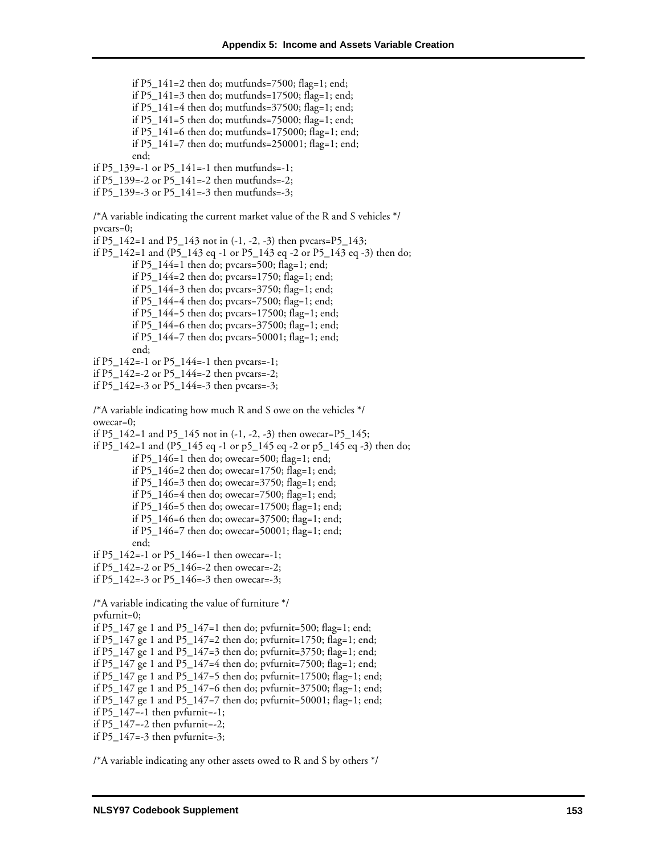if P5\_141=2 then do; mutfunds=7500; flag=1; end; if P5\_141=3 then do; mutfunds=17500; flag=1; end; if P5\_141=4 then do; mutfunds=37500; flag=1; end; if P5\_141=5 then do; mutfunds=75000; flag=1; end; if P5\_141=6 then do; mutfunds=175000; flag=1; end; if P5\_141=7 then do; mutfunds=250001; flag=1; end; end; if P5  $139=-1$  or P5  $141=-1$  then mutfunds=-1; if P5\_139=-2 or P5\_141=-2 then mutfunds=-2; if P5\_139=-3 or P5\_141=-3 then mutfunds=-3; /\*A variable indicating the current market value of the R and S vehicles \*/ pvcars=0; if P5\_142=1 and P5\_143 not in (-1, -2, -3) then pvcars=P5\_143; if P5\_142=1 and (P5\_143 eq -1 or P5\_143 eq -2 or P5\_143 eq -3) then do; if  $P5_144=1$  then do; pvcars=500; flag=1; end; if P5\_144=2 then do; pvcars=1750; flag=1; end; if P5\_144=3 then do; pvcars=3750; flag=1; end; if P5\_144=4 then do; pvcars=7500; flag=1; end; if P5\_144=5 then do; pvcars=17500; flag=1; end; if P5\_144=6 then do; pvcars=37500; flag=1; end; if P5\_144=7 then do; pvcars=50001; flag=1; end; end; if P5\_142=-1 or P5\_144=-1 then pvcars=-1; if P5\_142=-2 or P5\_144=-2 then pvcars=-2; if P5\_142=-3 or P5\_144=-3 then pvcars=-3; /\*A variable indicating how much R and S owe on the vehicles \*/ owecar=0; if P5\_142=1 and P5\_145 not in (-1, -2, -3) then owecar=P5\_145; if P5\_142=1 and (P5\_145 eq -1 or p5\_145 eq -2 or p5\_145 eq -3) then do; if  $P5_146=1$  then do; owecar=500; flag=1; end; if P5\_146=2 then do; owecar=1750; flag=1; end; if P5\_146=3 then do; owecar=3750; flag=1; end; if P5\_146=4 then do; owecar=7500; flag=1; end; if P5 $146=5$  then do; owecar=17500; flag=1; end; if P5\_146=6 then do; owecar=37500; flag=1; end; if P5\_146=7 then do; owecar=50001; flag=1; end; end; if P5  $142=-1$  or P5  $146=-1$  then owecar--1; if P5  $142=-2$  or P5  $146=-2$  then owecar=-2; if P5\_142=-3 or P5\_146=-3 then owecar=-3; /\*A variable indicating the value of furniture \*/ pvfurnit=0; if P5\_147 ge 1 and P5\_147=1 then do; pvfurnit=500; flag=1; end; if P5\_147 ge 1 and P5\_147=2 then do; pvfurnit=1750; flag=1; end; if P5\_147 ge 1 and P5\_147=3 then do; pvfurnit=3750; flag=1; end; if P5\_147 ge 1 and P5\_147=4 then do; pvfurnit=7500; flag=1; end; if P5\_147 ge 1 and P5\_147=5 then do; pvfurnit=17500; flag=1; end; if P5\_147 ge 1 and P5\_147=6 then do; pvfurnit=37500; flag=1; end; if P5\_147 ge 1 and P5\_147=7 then do; pvfurnit=50001; flag=1; end; if  $P5_147=-1$  then pvfurnit=-1; if P5\_147=-2 then pvfurnit=-2; if  $P5_147=-3$  then pvfurnit= $-3$ ;

/\*A variable indicating any other assets owed to R and S by others \*/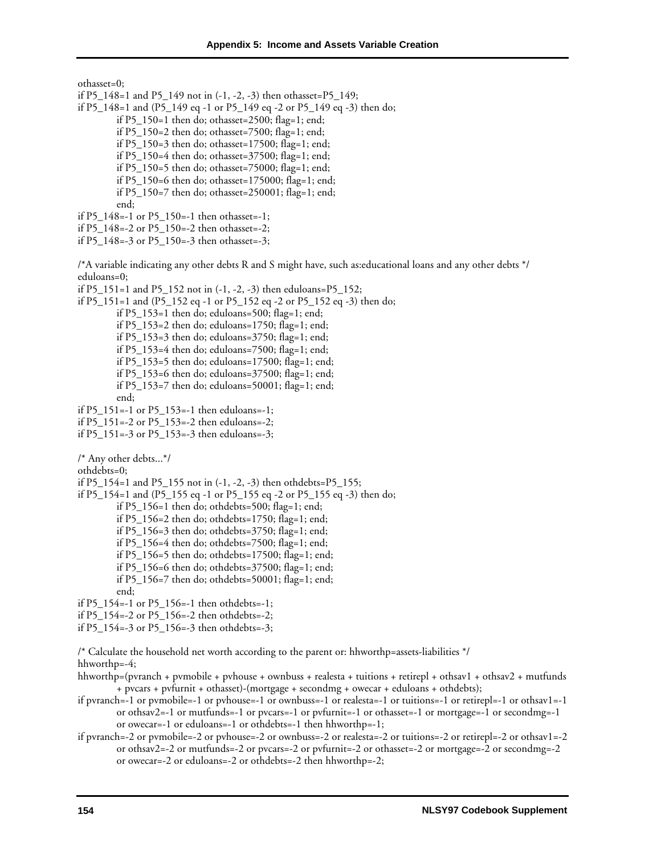othasset=0;

- if P5\_148=1 and P5\_149 not in (-1, -2, -3) then othasset=P5\_149;
- if P5\_148=1 and (P5\_149 eq -1 or P5\_149 eq -2 or P5\_149 eq -3) then do;
	- if P5\_150=1 then do; othasset=2500; flag=1; end;
	- if P5\_150=2 then do; othasset=7500; flag=1; end;
	- if P5\_150=3 then do; othasset=17500; flag=1; end;
	- if P5  $150=4$  then do; othasset=37500; flag=1; end;
	- if P5 $150=5$  then do; othasset=75000; flag=1; end;
	- if P5\_150=6 then do; othasset=175000; flag=1; end;
	- if P5\_150=7 then do; othasset=250001; flag=1; end;

end;

- if P5\_148=-1 or P5\_150=-1 then othasset=-1;
- if P5\_148=-2 or P5\_150=-2 then othasset=-2;
- if P5\_148=-3 or P5\_150=-3 then othasset=-3;

/\*A variable indicating any other debts R and S might have, such as:educational loans and any other debts \*/ eduloans=0;

- if P5\_151=1 and P5\_152 not in (-1, -2, -3) then eduloans=P5\_152;
- if P5\_151=1 and (P5\_152 eq -1 or P5\_152 eq -2 or P5\_152 eq -3) then do;

if P5\_153=1 then do; eduloans=500; flag=1; end;

- if P5\_153=2 then do; eduloans=1750; flag=1; end;
- if P5\_153=3 then do; eduloans=3750; flag=1; end;
- if P5\_153=4 then do; eduloans=7500; flag=1; end;
- if P5\_153=5 then do; eduloans=17500; flag=1; end;
- if P5\_153=6 then do; eduloans=37500; flag=1; end;
- if P5\_153=7 then do; eduloans=50001; flag=1; end;
- end;
- if P5\_151=-1 or P5\_153=-1 then eduloans=-1;
- if P5\_151=-2 or P5\_153=-2 then eduloans=-2;
- if P5\_151=-3 or P5\_153=-3 then eduloans=-3;
- /\* Any other debts...\*/
- othdebts=0;
- if P5\_154=1 and P5\_155 not in (-1, -2, -3) then othdebts=P5\_155;
- if P5\_154=1 and (P5\_155 eq -1 or P5\_155 eq -2 or P5\_155 eq -3) then do;
	- if P5\_156=1 then do; othdebts=500; flag=1; end;
		- if P5\_156=2 then do; othdebts=1750; flag=1; end;
		- if P5\_156=3 then do; othdebts=3750; flag=1; end;
		- if P5\_156=4 then do; othdebts=7500; flag=1; end;
		- if P5  $156=5$  then do; othdebts=17500; flag=1; end;
		- if P5\_156=6 then do; othdebts=37500; flag=1; end;
		- if P5\_156=7 then do; othdebts=50001; flag=1; end;
		- end;
- if P5\_154=-1 or P5\_156=-1 then othdebts=-1;
- if P5\_154=-2 or P5\_156=-2 then othdebts=-2;
- if P5\_154=-3 or P5\_156=-3 then othdebts=-3;

/\* Calculate the household net worth according to the parent or: hhworthp=assets-liabilities \*/

hhworthp=-4;

- hhworthp=(pvranch + pvmobile + pvhouse + ownbuss + realesta + tuitions + retirepl + othsav1 + othsav2 + mutfunds + pvcars + pvfurnit + othasset)-(mortgage + secondmg + owecar + eduloans + othdebts);
- if pvranch=-1 or pvmobile=-1 or pvhouse=-1 or ownbuss=-1 or realesta=-1 or tuitions=-1 or retirepl=-1 or othsav1=-1 or othsav2=-1 or mutfunds=-1 or pvcars=-1 or pvfurnit=-1 or othasset=-1 or mortgage=-1 or secondmg=-1 or owecar=-1 or eduloans=-1 or othdebts=-1 then hhworthp=-1;
- if pvranch=-2 or pvmobile=-2 or pvhouse=-2 or ownbuss=-2 or realesta=-2 or tuitions=-2 or retirepl=-2 or othsav1=-2 or othsav2=-2 or mutfunds=-2 or pvcars=-2 or pvfurnit=-2 or othasset=-2 or mortgage=-2 or secondmg=-2 or owecar=-2 or eduloans=-2 or othdebts=-2 then hhworthp=-2;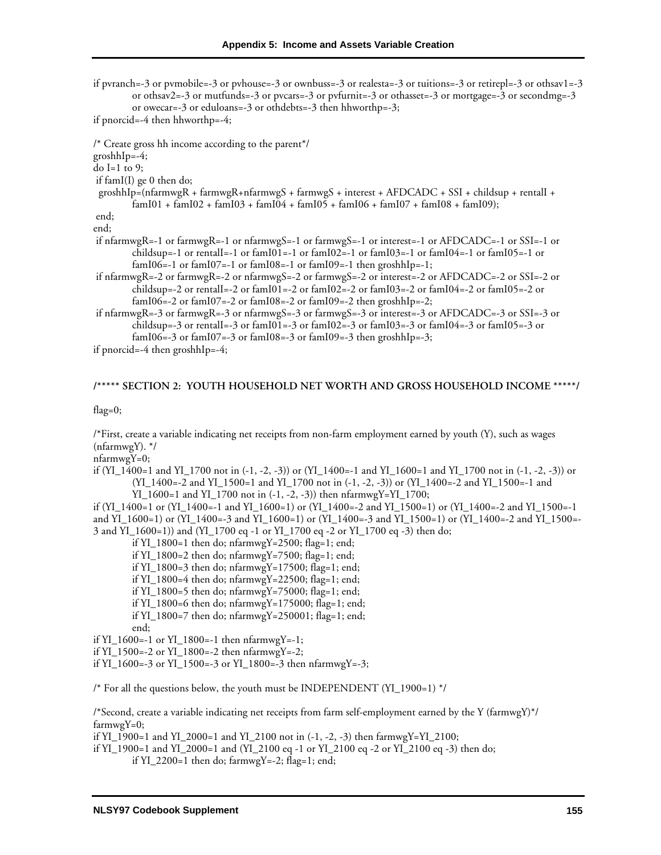if pvranch=-3 or pvmobile=-3 or pvhouse=-3 or ownbuss=-3 or realesta=-3 or tuitions=-3 or retirepl=-3 or othsav1=-3 or othsav2=-3 or mutfunds=-3 or pvcars=-3 or pvfurnit=-3 or othasset=-3 or mortgage=-3 or secondmg=-3 or owecar=-3 or eduloans=-3 or othdebts=-3 then hhworthp=-3; if pnorcid=-4 then hhworthp=-4; /\* Create gross hh income according to the parent\*/ groshhIp=-4; do I=1 to 9; if famI(I) ge 0 then do; groshhIp=(nfarmwgR + farmwgR+nfarmwgS + farmwgS + interest + AFDCADC + SSI + childsup + rentalI +  $f_{\rm atm}$ I01 +  $f_{\rm atm}$ I02 +  $f_{\rm atm}$ I03 +  $f_{\rm atm}$ I04 +  $f_{\rm atm}$ I05 +  $f_{\rm atm}$ I06 +  $f_{\rm atm}$ I07 +  $f_{\rm atm}$ I08 +  $f_{\rm atm}$ I09); end; end; if nfarmwgR=-1 or farmwgR=-1 or nfarmwgS=-1 or farmwgS=-1 or interest=-1 or AFDCADC=-1 or SSI=-1 or childsup=-1 or rentalI=-1 or famI01=-1 or famI02=-1 or famI03=-1 or famI04=-1 or famI05=-1 or

famI06=-1 or famI07=-1 or famI08=-1 or famI09=-1 then groshhIp=-1;

 if nfarmwgR=-2 or farmwgR=-2 or nfarmwgS=-2 or farmwgS=-2 or interest=-2 or AFDCADC=-2 or SSI=-2 or childsup=-2 or rentalI=-2 or famI01=-2 or famI02=-2 or famI03=-2 or famI04=-2 or famI05=-2 or famI06=-2 or famI07=-2 or famI08=-2 or famI09=-2 then groshhIp=-2;

 if nfarmwgR=-3 or farmwgR=-3 or nfarmwgS=-3 or farmwgS=-3 or interest=-3 or AFDCADC=-3 or SSI=-3 or childsup=-3 or rentalI=-3 or famI01=-3 or famI02=-3 or famI03=-3 or famI04=-3 or famI05=-3 or famI06=-3 or famI07=-3 or famI08=-3 or famI09=-3 then groshhIp=-3;

if pnorcid=-4 then groshhIp=-4;

### **/\*\*\*\*\* SECTION 2: YOUTH HOUSEHOLD NET WORTH AND GROSS HOUSEHOLD INCOME \*\*\*\*\*/**

flag=0;

/\*First, create a variable indicating net receipts from non-farm employment earned by youth (Y), such as wages  $(nfarmwgY).$  \*/

nfarmwgY=0;

if  $(YI_1400=1$  and  $YI_1700$  not in  $(-1, -2, -3)$  or  $(YI_1400=-1$  and  $YI_1600=1$  and  $YI_1700$  not in  $(-1, -2, -3)$  or (YI\_1400=-2 and YI\_1500=1 and YI\_1700 not in (-1, -2, -3)) or (YI\_1400=-2 and YI\_1500=-1 and YI\_1600=1 and YI\_1700 not in (-1, -2, -3)) then nfarmwgY=YI\_1700;

if (YI\_1400=1 or (YI\_1400=-1 and YI\_1600=1) or (YI\_1400=-2 and YI\_1500=1) or (YI\_1400=-2 and YI\_1500=-1 and YI\_1600=1) or (YI\_1400=-3 and YI\_1600=1) or (YI\_1400=-3 and YI\_1500=1) or (YI\_1400=-2 and YI\_1500=- 3 and YI\_1600=1)) and (YI\_1700 eq -1 or YI\_1700 eq -2 or YI\_1700 eq -3) then do;

if YI\_1800=1 then do; nfarmwgY=2500; flag=1; end;

if YI\_1800=2 then do; nfarmwgY=7500; flag=1; end;

if YI\_1800=3 then do; nfarmwgY=17500; flag=1; end;

if YI\_1800=4 then do; nfarmwgY=22500; flag=1; end;

if YI\_1800=5 then do; nfarmwgY=75000; flag=1; end;

if YI\_1800=6 then do; nfarmwgY=175000; flag=1; end;

if YI\_1800=7 then do; nfarmwgY=250001; flag=1; end;

end;

if YI\_1600=-1 or YI\_1800=-1 then nfarmwgY=-1;

if YI\_1500=-2 or YI\_1800=-2 then nfarmwgY=-2;

if YI\_1600=-3 or YI\_1500=-3 or YI\_1800=-3 then nfarmwgY=-3;

/\* For all the questions below, the youth must be INDEPENDENT (YI\_1900=1) \*/

/\*Second, create a variable indicating net receipts from farm self-employment earned by the Y (farmwgY)\*/ farmwgY=0;

if YI\_1900=1 and YI\_2000=1 and YI\_2100 not in (-1, -2, -3) then farmwgY=YI\_2100;

if YI\_1900=1 and YI\_2000=1 and (YI\_2100 eq -1 or YI\_2100 eq -2 or YI\_2100 eq -3) then do;

if  $YI_2200=1$  then do; farmwg $Y=-2$ ; flag=1; end;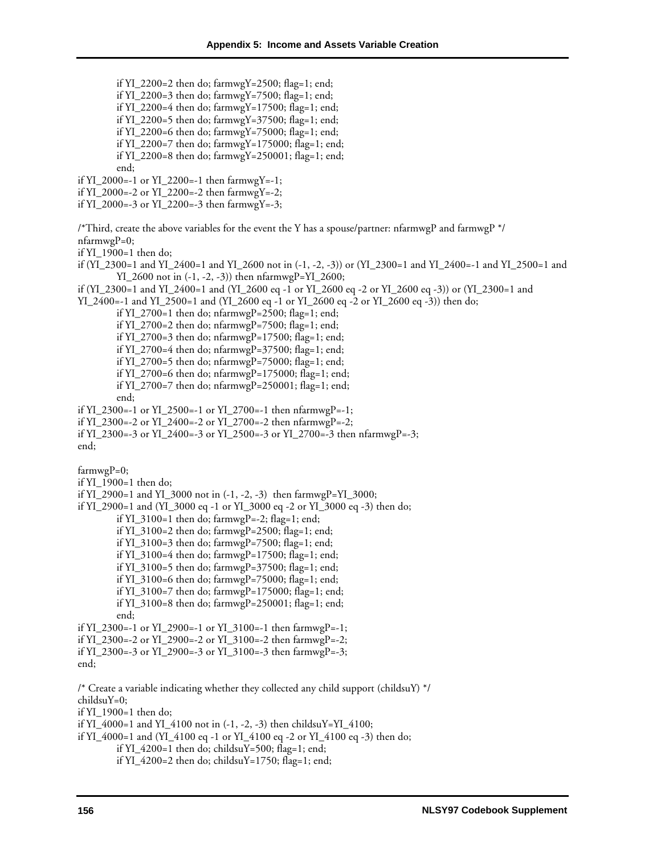if YI\_2200=2 then do; farmwgY=2500; flag=1; end;

if YI\_2200=3 then do; farmwgY=7500; flag=1; end; if YI\_2200=4 then do; farmwgY=17500; flag=1; end; if YI\_2200=5 then do; farmwgY=37500; flag=1; end; if YI\_2200=6 then do; farmwgY=75000; flag=1; end; if YI\_2200=7 then do; farmwgY=175000; flag=1; end; if YI\_2200=8 then do; farmwgY=250001; flag=1; end; end; if YI\_2000=-1 or YI\_2200=-1 then farmwgY=-1; if YI\_2000=-2 or YI\_2200=-2 then farmwgY=-2; if YI\_2000=-3 or YI\_2200=-3 then farmwgY=-3; /\*Third, create the above variables for the event the Y has a spouse/partner: nfarmwgP and farmwgP  $^*/$  $n$ farmwg $P=0$ ; if YI\_1900=1 then do; if (YI\_2300=1 and YI\_2400=1 and YI\_2600 not in (-1, -2, -3)) or (YI\_2300=1 and YI\_2400=-1 and YI\_2500=1 and  $YI_2600$  not in  $(-1, -2, -3)$  then nfarmwgP= $YI_2600$ ; if (YI\_2300=1 and YI\_2400=1 and (YI\_2600 eq -1 or YI\_2600 eq -2 or YI\_2600 eq -3)) or (YI\_2300=1 and YI\_2400=-1 and YI\_2500=1 and (YI\_2600 eq -1 or YI\_2600 eq -2 or YI\_2600 eq -3)) then do; if YI\_2700=1 then do; nfarmwgP=2500; flag=1; end; if YI\_2700=2 then do; nfarmwgP=7500; flag=1; end; if YI\_2700=3 then do; nfarmwgP=17500; flag=1; end; if YI\_2700=4 then do; nfarmwgP=37500; flag=1; end; if YI\_2700=5 then do; nfarmwgP=75000; flag=1; end; if YI\_2700=6 then do; nfarmwgP=175000; flag=1; end; if YI\_2700=7 then do; nfarmwgP=250001; flag=1; end; end; if YI\_2300=-1 or YI\_2500=-1 or YI\_2700=-1 then nfarmwgP=-1; if YI\_2300=-2 or YI\_2400=-2 or YI\_2700=-2 then nfarmwgP=-2; if YI\_2300=-3 or YI\_2400=-3 or YI\_2500=-3 or YI\_2700=-3 then nfarmwgP=-3; end;  $farmwgP=0;$ if YI\_1900=1 then do; if YI\_2900=1 and YI\_3000 not in (-1, -2, -3) then farmwgP=YI\_3000; if YI\_2900=1 and (YI\_3000 eq -1 or YI\_3000 eq -2 or YI\_3000 eq -3) then do; if  $YI_3100=1$  then do; farmwgP=-2; flag=1; end; if YI\_3100=2 then do; farmwgP=2500; flag=1; end; if YI\_3100=3 then do; farmwgP=7500; flag=1; end; if YI\_3100=4 then do; farmwgP=17500; flag=1; end; if YI\_3100=5 then do; farmwgP=37500; flag=1; end; if YI\_3100=6 then do; farmwgP=75000; flag=1; end; if YI\_3100=7 then do; farmwgP=175000; flag=1; end; if YI\_3100=8 then do; farmwgP=250001; flag=1; end; end; if YI\_2300=-1 or YI\_2900=-1 or YI\_3100=-1 then farmwgP=-1; if YI\_2300=-2 or YI\_2900=-2 or YI\_3100=-2 then farmwgP=-2; if YI\_2300=-3 or YI\_2900=-3 or YI\_3100=-3 then farmwgP=-3; end; /\* Create a variable indicating whether they collected any child support (childsuY) \*/ childsuY=0; if YI\_1900=1 then do; if YI\_4000=1 and YI\_4100 not in (-1, -2, -3) then childsuY=YI\_4100; if YI\_4000=1 and (YI\_4100 eq -1 or YI\_4100 eq -2 or YI\_4100 eq -3) then do; if  $YI_4200=1$  then do; childsuY=500; flag=1; end;

if YI\_4200=2 then do; childsuY=1750; flag=1; end;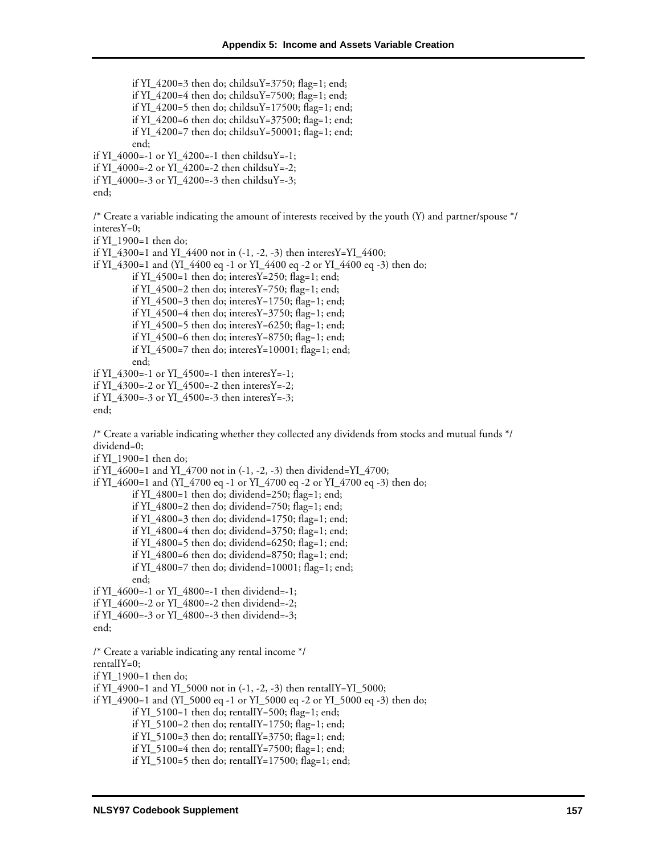if YI\_4200=3 then do; childsuY=3750; flag=1; end; if YI\_4200=4 then do; childsuY=7500; flag=1; end; if YI\_4200=5 then do; childsuY=17500; flag=1; end; if YI\_4200=6 then do; childsuY=37500; flag=1; end; if YI\_4200=7 then do; childsuY=50001; flag=1; end; end; if YI\_4000=-1 or YI\_4200=-1 then childsuY=-1; if YI\_4000=-2 or YI\_4200=-2 then childsuY=-2; if YI\_4000=-3 or YI\_4200=-3 then childsuY=-3; end; /\* Create a variable indicating the amount of interests received by the youth (Y) and partner/spouse \*/ interesY=0; if YI\_1900=1 then do; if YI\_4300=1 and YI\_4400 not in (-1, -2, -3) then interesY=YI\_4400; if YI  $\,4300=1$  and (YI  $\,4400$  eq -1 or YI  $\,4400$  eq -2 or YI  $\,4400$  eq -3) then do; if YI\_4500=1 then do; interesY=250; flag=1; end; if YI\_4500=2 then do; interesY=750; flag=1; end; if YI\_4500=3 then do; interesY=1750; flag=1; end; if YI\_4500=4 then do; interesY=3750; flag=1; end; if YI\_4500=5 then do; interesY=6250; flag=1; end; if YI\_4500=6 then do; interesY=8750; flag=1; end; if YI\_4500=7 then do; interesY=10001; flag=1; end; end; if YI\_4300=-1 or YI\_4500=-1 then interesY=-1; if YI\_4300=-2 or YI\_4500=-2 then interesY=-2; if YI\_4300=-3 or YI\_4500=-3 then interesY=-3; end; /\* Create a variable indicating whether they collected any dividends from stocks and mutual funds \*/ dividend=0; if YI\_1900=1 then do; if YI\_4600=1 and YI\_4700 not in  $(-1, -2, -3)$  then dividend=YI\_4700; if YI\_4600=1 and (YI\_4700 eq -1 or YI\_4700 eq -2 or YI\_4700 eq -3) then do; if YI\_4800=1 then do; dividend=250; flag=1; end; if YI  $4800=2$  then do; dividend=750; flag=1; end; if YI  $4800=3$  then do; dividend=1750; flag=1; end; if YI\_4800=4 then do; dividend=3750; flag=1; end; if YI\_4800=5 then do; dividend=6250; flag=1; end; if YI  $4800=6$  then do; dividend=8750; flag=1; end; if YI\_4800=7 then do; dividend=10001; flag=1; end; end; if YI\_4600=-1 or YI\_4800=-1 then dividend=-1; if YI\_4600=-2 or YI\_4800=-2 then dividend=-2; if YI\_4600=-3 or YI\_4800=-3 then dividend=-3; end; /\* Create a variable indicating any rental income \*/ rentalIY=0; if YI\_1900=1 then do; if YI\_4900=1 and YI\_5000 not in (-1, -2, -3) then rentalIY=YI\_5000; if YI\_4900=1 and (YI\_5000 eq -1 or YI\_5000 eq -2 or YI\_5000 eq -3) then do; if YI\_5100=1 then do; rentalIY=500; flag=1; end; if YI\_5100=2 then do; rentalIY=1750; flag=1; end; if YI\_5100=3 then do; rentalIY=3750; flag=1; end; if YI\_5100=4 then do; rentalIY=7500; flag=1; end;

if YI\_5100=5 then do; rentalIY=17500; flag=1; end;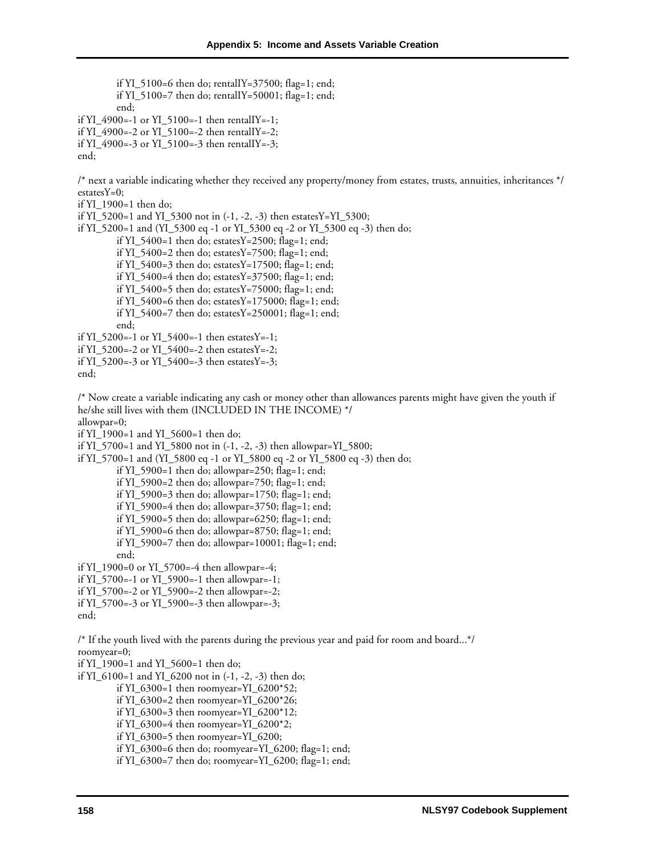if YI\_5100=6 then do; rentalIY=37500; flag=1; end; if YI\_5100=7 then do; rentalIY=50001; flag=1; end; end; if YI\_4900=-1 or YI\_5100=-1 then rentalIY=-1; if YI\_4900=-2 or YI\_5100=-2 then rentalIY=-2; if YI\_4900=-3 or YI\_5100=-3 then rentalIY=-3; end; /\* next a variable indicating whether they received any property/money from estates, trusts, annuities, inheritances \*/  $\text{estatesY=0};$ if YI\_1900=1 then do; if YI\_5200=1 and YI\_5300 not in (-1, -2, -3) then estatesY=YI\_5300; if YI\_5200=1 and (YI\_5300 eq -1 or YI\_5300 eq -2 or YI\_5300 eq -3) then do; if YI\_5400=1 then do; estatesY=2500; flag=1; end; if YI\_5400=2 then do; estatesY=7500; flag=1; end; if YI\_5400=3 then do; estatesY=17500; flag=1; end; if YI\_5400=4 then do; estatesY=37500; flag=1; end; if YI\_5400=5 then do; estatesY=75000; flag=1; end; if YI\_5400=6 then do; estatesY=175000; flag=1; end; if YI\_5400=7 then do; estatesY=250001; flag=1; end; end; if YI\_5200=-1 or YI\_5400=-1 then estatesY=-1; if YI\_5200=-2 or YI\_5400=-2 then estatesY=-2; if YI\_5200=-3 or YI\_5400=-3 then estatesY=-3; end; /\* Now create a variable indicating any cash or money other than allowances parents might have given the youth if he/she still lives with them (INCLUDED IN THE INCOME) \*/ allowpar=0; if YI\_1900=1 and YI\_5600=1 then do; if YI\_5700=1 and YI\_5800 not in (-1, -2, -3) then allowpar=YI\_5800; if YI\_5700=1 and (YI\_5800 eq -1 or YI\_5800 eq -2 or YI\_5800 eq -3) then do; if YI  $5900=1$  then do; allowpar=250; flag=1; end; if YI\_5900=2 then do; allowpar=750; flag=1; end; if YI\_5900=3 then do; allowpar=1750; flag=1; end; if YI\_5900=4 then do; allowpar= $3750$ ; flag=1; end; if YI\_5900=5 then do; allowpar= $6250$ ; flag=1; end; if YI\_5900=6 then do; allowpar=8750; flag=1; end; if YI\_5900=7 then do; allowpar=10001; flag=1; end; end; if YI\_1900=0 or YI\_5700=-4 then allowpar=-4; if YI\_5700=-1 or YI\_5900=-1 then allowpar=-1; if YI\_5700=-2 or YI\_5900=-2 then allowpar=-2; if YI\_5700=-3 or YI\_5900=-3 then allowpar=-3; end; /\* If the youth lived with the parents during the previous year and paid for room and board...\*/ roomyear=0; if YI\_1900=1 and YI\_5600=1 then do; if YI\_6100=1 and YI\_6200 not in (-1, -2, -3) then do; if YI\_6300=1 then roomyear=YI\_6200\*52; if YI\_6300=2 then roomyear=YI\_6200\*26; if YI\_6300=3 then roomyear=YI\_6200\*12; if YI\_6300=4 then roomyear=YI\_6200\*2; if YI\_6300=5 then roomyear=YI\_6200; if YI\_6300=6 then do; roomyear=YI\_6200; flag=1; end;

if YI\_6300=7 then do; roomyear=YI\_6200; flag=1; end;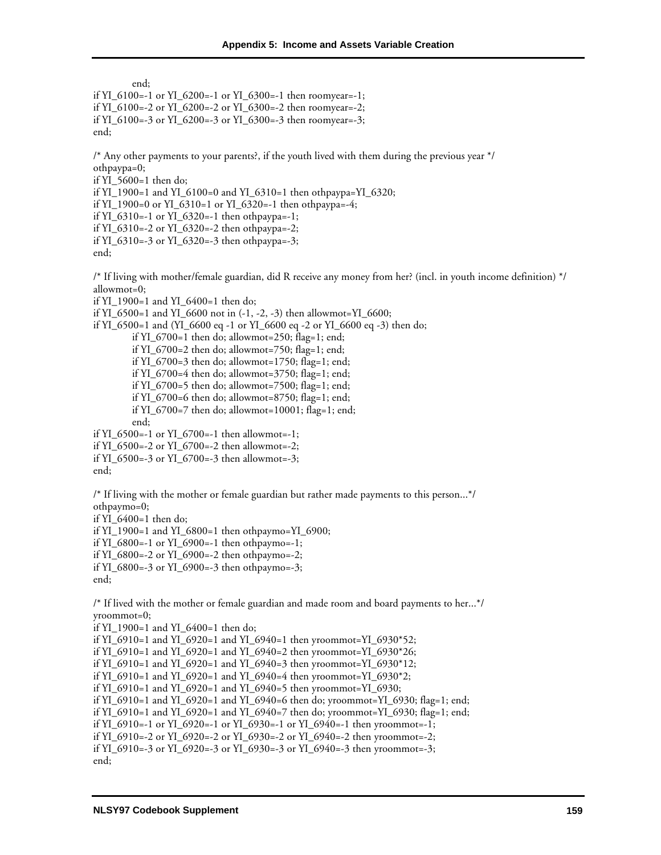end; if YI\_6100=-1 or YI\_6200=-1 or YI\_6300=-1 then roomyear=-1; if YI\_6100=-2 or YI\_6200=-2 or YI\_6300=-2 then roomyear=-2; if YI\_6100=-3 or YI\_6200=-3 or YI\_6300=-3 then roomyear=-3; end;

/\* Any other payments to your parents?, if the youth lived with them during the previous year \*/ othpaypa=0;

if YI\_5600=1 then do;

if YI\_1900=1 and YI\_6100=0 and YI\_6310=1 then othpaypa=YI\_6320;

if YI\_1900=0 or YI\_6310=1 or YI\_6320=-1 then othpaypa=-4;

if YI\_6310=-1 or YI\_6320=-1 then othpaypa=-1;

if YI\_6310=-2 or YI\_6320=-2 then othpaypa=-2;

if YI\_6310=-3 or YI\_6320=-3 then othpaypa=-3;

```
end;
```
/\* If living with mother/female guardian, did R receive any money from her? (incl. in youth income definition) \*/ allowmot=0;

if YI\_1900=1 and YI\_6400=1 then do;

if YI\_6500=1 and YI\_6600 not in (-1, -2, -3) then allowmot=YI\_6600;

if YI\_6500=1 and (YI\_6600 eq -1 or YI\_6600 eq -2 or YI\_6600 eq -3) then do;

if YI\_6700=1 then do; allowmot=250; flag=1; end;

if YI\_6700=2 then do; allowmot=750; flag=1; end;

if YI\_6700=3 then do; allowmot=1750; flag=1; end;

if YI\_6700=4 then do; allowmot=3750; flag=1; end;

if YI\_6700=5 then do; allowmot=7500; flag=1; end;

if YI\_6700=6 then do; allowmot=8750; flag=1; end;

if YI\_6700=7 then do; allowmot=10001; flag=1; end; end;

if YI\_6500=-1 or YI\_6700=-1 then allowmot=-1;

if YI\_6500=-2 or YI\_6700=-2 then allowmot=-2;

if YI\_6500=-3 or YI\_6700=-3 then allowmot=-3;

```
end;
```
/\* If living with the mother or female guardian but rather made payments to this person...\*/ othpaymo=0;

if YI\_6400=1 then do;

if YI\_1900=1 and YI\_6800=1 then othpaymo=YI\_6900;

if YI\_6800=-1 or YI\_6900=-1 then othpaymo=-1;

if YI\_6800=-2 or YI\_6900=-2 then othpaymo=-2;

if YI\_6800=-3 or YI\_6900=-3 then othpaymo=-3;

```
end;
```
/\* If lived with the mother or female guardian and made room and board payments to her...\*/ yroommot=0;

```
if YI_1900=1 and YI_6400=1 then do;
```

```
if YI_6910=1 and YI_6920=1 and YI_6940=1 then yroommot=YI_6930*52; 
if YI_6910=1 and YI_6920=1 and YI_6940=2 then yroommot=YI_6930*26; 
if YI_6910=1 and YI_6920=1 and YI_6940=3 then yroommot=YI_6930*12;
if YI_6910=1 and YI_6920=1 and YI_6940=4 then yroommot=YI_6930*2; 
if YI_6910=1 and YI_6920=1 and YI_6940=5 then yroommot=YI_6930; 
if YI_6910=1 and YI_6920=1 and YI_6940=6 then do; yroommot=YI_6930; flag=1; end; 
if YI_6910=1 and YI_6920=1 and YI_6940=7 then do; yroommot=YI_6930; flag=1; end; 
if YI_6910=-1 or YI_6920=-1 or YI_6930=-1 or YI_6940=-1 then yroommot=-1; 
if YI_6910=-2 or YI_6920=-2 or YI_6930=-2 or YI_6940=-2 then yroommot=-2; 
if YI_6910=-3 or YI_6920=-3 or YI_6930=-3 or YI_6940=-3 then yroommot=-3; 
end;
```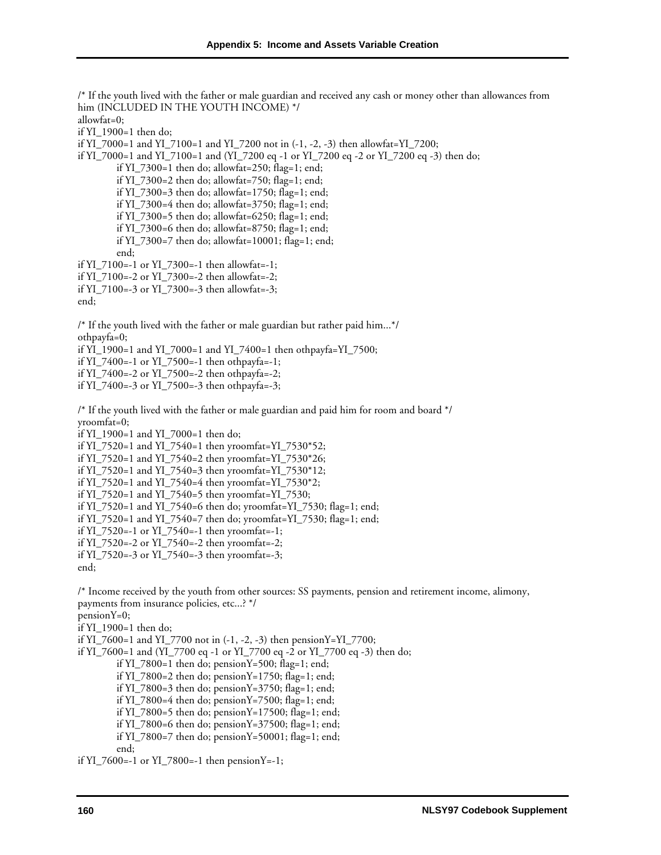/\* If the youth lived with the father or male guardian and received any cash or money other than allowances from him (INCLUDED IN THE YOUTH INCOME) \*/ allowfat=0; if YI\_1900=1 then do; if YI\_7000=1 and YI\_7100=1 and YI\_7200 not in (-1, -2, -3) then allowfat=YI\_7200; if YI\_7000=1 and YI\_7100=1 and (YI\_7200 eq -1 or YI\_7200 eq -2 or YI\_7200 eq -3) then do; if YI  $7300=1$  then do; allowfat=250; flag=1; end; if YI\_7300=2 then do; allowfat=750; flag=1; end; if YI\_7300=3 then do; allowfat=1750; flag=1; end; if YI\_7300=4 then do; allowfat=3750; flag=1; end; if YI\_7300=5 then do; allowfat=6250; flag=1; end; if YI\_7300=6 then do; allowfat=8750; flag=1; end; if YI\_7300=7 then do; allowfat=10001; flag=1; end; end; if YI\_7100=-1 or YI\_7300=-1 then allowfat=-1; if YI\_7100=-2 or YI\_7300=-2 then allowfat=-2; if YI\_7100=-3 or YI\_7300=-3 then allowfat=-3; end; /\* If the youth lived with the father or male guardian but rather paid him...\*/ othpayfa=0; if YI\_1900=1 and YI\_7000=1 and YI\_7400=1 then othpayfa=YI\_7500; if YI\_7400=-1 or YI\_7500=-1 then othpayfa=-1; if YI\_7400=-2 or YI\_7500=-2 then othpayfa=-2; if YI\_7400=-3 or YI\_7500=-3 then othpayfa=-3; /\* If the youth lived with the father or male guardian and paid him for room and board \*/ yroomfat=0; if YI\_1900=1 and YI\_7000=1 then do; if YI\_7520=1 and YI\_7540=1 then yroomfat=YI\_7530\*52; if YI\_7520=1 and YI\_7540=2 then yroomfat=YI\_7530\*26; if YI\_7520=1 and YI\_7540=3 then yroomfat=YI\_7530\*12; if YI\_7520=1 and YI\_7540=4 then yroomfat=YI\_7530\*2; if YI\_7520=1 and YI\_7540=5 then yroomfat=YI\_7530; if YI\_7520=1 and YI\_7540=6 then do; yroomfat=YI\_7530; flag=1; end; if YI\_7520=1 and YI\_7540=7 then do; yroomfat=YI\_7530; flag=1; end; if YI\_7520=-1 or YI\_7540=-1 then yroomfat=-1; if YI\_7520=-2 or YI\_7540=-2 then yroomfat=-2; if YI  $7520=-3$  or YI  $7540=-3$  then yroomfat=-3; end; /\* Income received by the youth from other sources: SS payments, pension and retirement income, alimony, payments from insurance policies, etc...? \*/ pensionY=0; if YI  $1900=1$  then do; if YI\_7600=1 and YI\_7700 not in (-1, -2, -3) then pensionY=YI\_7700; if YI\_7600=1 and (YI\_7700 eq -1 or YI\_7700 eq -2 or YI\_7700 eq -3) then do; if YI\_7800=1 then do; pensionY=500; flag=1; end; if YI\_7800=2 then do; pensionY=1750; flag=1; end; if YI\_7800=3 then do; pensionY=3750; flag=1; end; if YI\_7800=4 then do; pensionY=7500; flag=1; end; if YI\_7800=5 then do; pensionY=17500; flag=1; end; if YI\_7800=6 then do; pensionY=37500; flag=1; end; if YI\_7800=7 then do; pensionY=50001; flag=1; end;

end;

if YI\_7600=-1 or YI\_7800=-1 then pensionY=-1;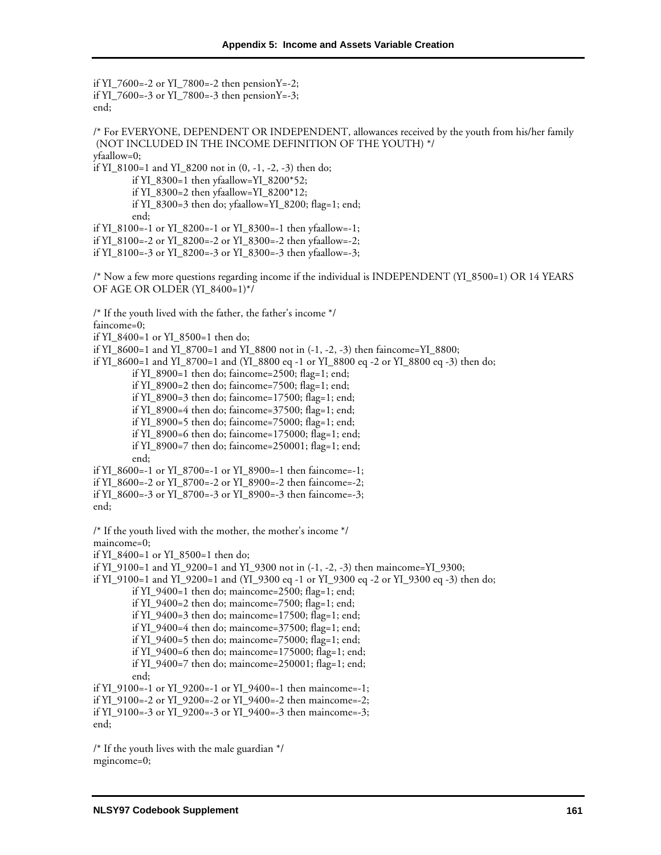if YI\_7600=-2 or YI\_7800=-2 then pensionY=-2; if YI\_7600=-3 or YI\_7800=-3 then pensionY=-3; end; /\* For EVERYONE, DEPENDENT OR INDEPENDENT, allowances received by the youth from his/her family (NOT INCLUDED IN THE INCOME DEFINITION OF THE YOUTH) \*/ yfaallow=0; if YI\_8100=1 and YI\_8200 not in  $(0, -1, -2, -3)$  then do; if YI\_8300=1 then yfaallow=YI\_8200\*52; if YI\_8300=2 then yfaallow=YI\_8200\*12; if YI\_8300=3 then do; yfaallow=YI\_8200; flag=1; end; end; if YI\_8100=-1 or YI\_8200=-1 or YI\_8300=-1 then yfaallow=-1; if YI\_8100=-2 or YI\_8200=-2 or YI\_8300=-2 then yfaallow=-2; if YI\_8100=-3 or YI\_8200=-3 or YI\_8300=-3 then yfaallow=-3; /\* Now a few more questions regarding income if the individual is INDEPENDENT (YI\_8500=1) OR 14 YEARS OF AGE OR OLDER (YI\_8400=1)\*/ /\* If the youth lived with the father, the father's income \*/ faincome=0; if YI\_8400=1 or YI\_8500=1 then do; if YI\_8600=1 and YI\_8700=1 and YI\_8800 not in (-1, -2, -3) then faincome=YI\_8800; if YI\_8600=1 and YI\_8700=1 and (YI\_8800 eq -1 or YI\_8800 eq -2 or YI\_8800 eq -3) then do; if YI\_8900=1 then do; faincome=2500; flag=1; end; if YI\_8900=2 then do; faincome=7500; flag=1; end; if YI\_8900=3 then do; faincome=17500; flag=1; end; if YI\_8900=4 then do; faincome=37500; flag=1; end; if YI\_8900=5 then do; faincome=75000; flag=1; end; if YI\_8900=6 then do; faincome=175000; flag=1; end; if YI\_8900=7 then do; faincome=250001; flag=1; end; end; if YI\_8600=-1 or YI\_8700=-1 or YI\_8900=-1 then faincome=-1; if YI\_8600=-2 or YI\_8700=-2 or YI\_8900=-2 then faincome=-2; if YI\_8600=-3 or YI\_8700=-3 or YI\_8900=-3 then faincome=-3; end; /\* If the youth lived with the mother, the mother's income \*/ maincome=0; if YI  $8400=1$  or YI  $8500=1$  then do; if YI\_9100=1 and YI\_9200=1 and YI\_9300 not in (-1, -2, -3) then maincome=YI\_9300; if YI\_9100=1 and YI\_9200=1 and (YI\_9300 eq -1 or YI\_9300 eq -2 or YI\_9300 eq -3) then do; if YI\_9400=1 then do; maincome=2500; flag=1; end; if YI\_9400=2 then do; maincome=7500; flag=1; end; if YI\_9400=3 then do; maincome=17500; flag=1; end; if YI\_9400=4 then do; maincome=37500; flag=1; end; if YI\_9400=5 then do; maincome=75000; flag=1; end; if YI\_9400=6 then do; maincome=175000; flag=1; end; if YI\_9400=7 then do; maincome=250001; flag=1; end; end; if YI\_9100=-1 or YI\_9200=-1 or YI\_9400=-1 then maincome=-1; if YI\_9100=-2 or YI\_9200=-2 or YI\_9400=-2 then maincome=-2; if YI\_9100=-3 or YI\_9200=-3 or YI\_9400=-3 then maincome=-3; end;

/\* If the youth lives with the male guardian \*/ mgincome=0;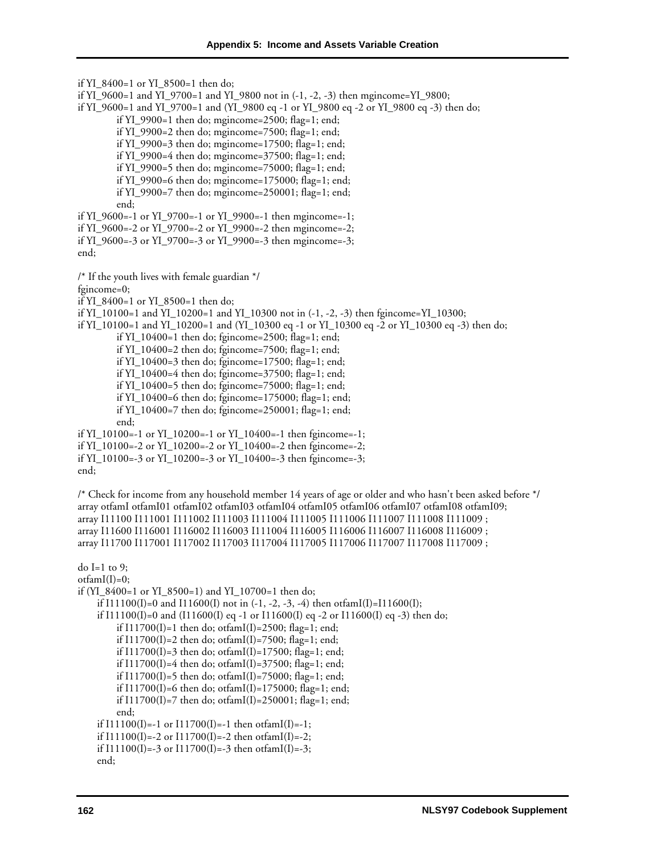if YI\_8400=1 or YI\_8500=1 then do; if YI\_9600=1 and YI\_9700=1 and YI\_9800 not in (-1, -2, -3) then mgincome=YI\_9800; if YI\_9600=1 and YI\_9700=1 and (YI\_9800 eq -1 or YI\_9800 eq -2 or YI\_9800 eq -3) then do; if YI\_9900=1 then do; mgincome=2500; flag=1; end; if YI\_9900=2 then do; mgincome=7500; flag=1; end; if YI\_9900=3 then do; mgincome=17500; flag=1; end; if YI  $9900=4$  then do; mgincome=37500; flag=1; end; if YI\_9900=5 then do; mgincome=75000; flag=1; end; if YI\_9900=6 then do; mgincome=175000; flag=1; end; if YI\_9900=7 then do; mgincome=250001; flag=1; end; end; if YI\_9600=-1 or YI\_9700=-1 or YI\_9900=-1 then mgincome=-1; if YI\_9600=-2 or YI\_9700=-2 or YI\_9900=-2 then mgincome=-2; if YI\_9600=-3 or YI\_9700=-3 or YI\_9900=-3 then mgincome=-3; end; /\* If the youth lives with female guardian \*/ fgincome=0; if YI\_8400=1 or YI\_8500=1 then do; if YI\_10100=1 and YI\_10200=1 and YI\_10300 not in (-1, -2, -3) then fgincome=YI\_10300; if YI\_10100=1 and YI\_10200=1 and (YI\_10300 eq -1 or YI\_10300 eq -2 or YI\_10300 eq -3) then do; if YI\_10400=1 then do; fgincome=2500; flag=1; end; if YI\_10400=2 then do; fgincome=7500; flag=1; end; if YI\_10400=3 then do; fgincome=17500; flag=1; end; if YI\_10400=4 then do; fgincome=37500; flag=1; end; if YI\_10400=5 then do; fgincome=75000; flag=1; end; if YI\_10400=6 then do; fgincome=175000; flag=1; end; if YI\_10400=7 then do; fgincome=250001; flag=1; end; end; if YI\_10100=-1 or YI\_10200=-1 or YI\_10400=-1 then fgincome=-1; if YI\_10100=-2 or YI\_10200=-2 or YI\_10400=-2 then fgincome=-2; if YI  $10100=-3$  or YI  $10200=-3$  or YI  $10400=-3$  then fgincome=-3; end; /\* Check for income from any household member 14 years of age or older and who hasn't been asked before \*/ array otfamI otfamI01 otfamI02 otfamI03 otfamI04 otfamI05 otfamI06 otfamI07 otfamI08 otfamI09; array I11100 I111001 I111002 I111003 I111004 I111005 I111006 I111007 I111008 I111009 ; array I11600 I116001 I116002 I116003 I111004 I116005 I116006 I116007 I116008 I116009 ; array I11700 I117001 I117002 I117003 I117004 I117005 I117006 I117007 I117008 I117009 ; do I=1 to 9:  $otfamI(I)=0;$ if (YI\_8400=1 or YI\_8500=1) and YI\_10700=1 then do; if I11100(I)=0 and I11600(I) not in  $(-1, -2, -3, -4)$  then otfamI(I)=I11600(I); if I11100(I)=0 and (I11600(I) eq -1 or I11600(I) eq -2 or I11600(I) eq -3) then do; if  $I11700(I)=1$  then do; otfam $I(I)=2500$ ; flag=1; end; if  $I11700(I)=2$  then do; otfam $I(I)=7500$ ; flag=1; end; if  $I11700(I)=3$  then do; otfam $I(I)=17500$ ; flag=1; end; if  $I11700(I)=4$  then do; otfam $I(I)=37500$ ; flag=1; end; if I11700(I)=5 then do; otfamI(I)=75000; flag=1; end; if I11700(I)=6 then do; otfamI(I)=175000; flag=1; end; if I11700(I)=7 then do; otfamI(I)=250001; flag=1; end; end; if  $I11100(I)$ =-1 or  $I11700(I)$ =-1 then otfam $I(I)$ =-1; if  $I11100(I)$ =-2 or  $I11700(I)$ =-2 then otfamI(I)=-2; if I11100(I)=-3 or I11700(I)=-3 then otfamI(I)=-3;

```
end;
```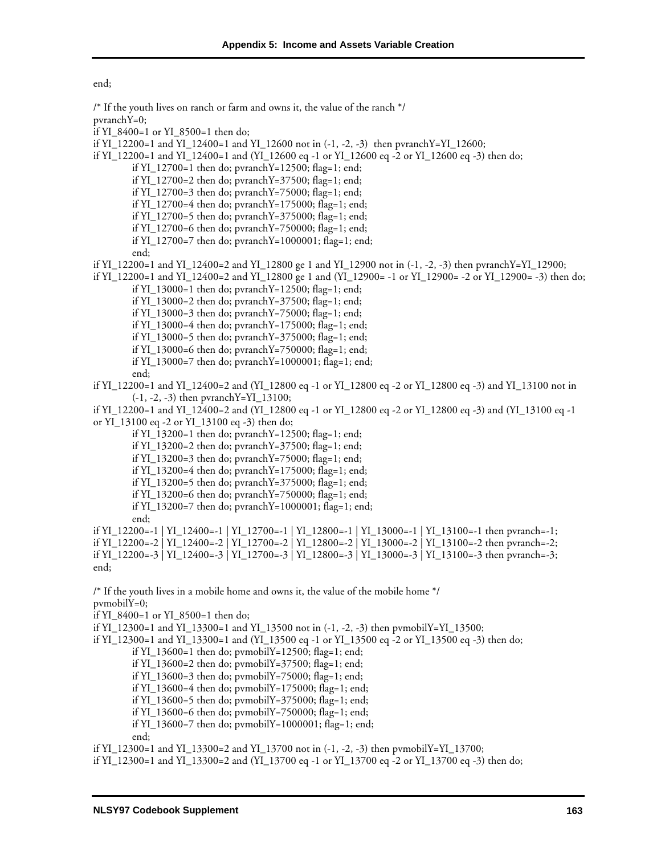end;

pvranchY=0;

if YI\_8400=1 or YI\_8500=1 then do;

if YI\_12700=1 then do; pvranchY=12500; flag=1; end; if YI\_12700=2 then do; pvranchY=37500; flag=1; end; if YI\_12700=3 then do; pvranchY=75000; flag=1; end; if YI\_12700=4 then do; pvranchY=175000; flag=1; end; if YI\_12700=5 then do; pvranchY=375000; flag=1; end; if YI\_12700=6 then do; pvranchY=750000; flag=1; end; if YI\_12700=7 then do; pvranchY=1000001; flag=1; end; end; if YI\_12200=1 and YI\_12400=2 and YI\_12800 ge 1 and YI\_12900 not in (-1, -2, -3) then pvranchY=YI\_12900; if YI\_12200=1 and YI\_12400=2 and YI\_12800 ge 1 and (YI\_12900= -1 or YI\_12900= -2 or YI\_12900= -3) then do; if YI\_13000=1 then do; pvranchY=12500; flag=1; end; if YI\_13000=2 then do; pvranchY=37500; flag=1; end; if YI\_13000=3 then do; pvranchY=75000; flag=1; end; if YI\_13000=4 then do; pvranchY=175000; flag=1; end; if YI\_13000=5 then do; pvranchY=375000; flag=1; end; if YI\_13000=6 then do; pvranchY=750000; flag=1; end; if YI\_13000=7 then do; pvranchY=1000001; flag=1; end; end; if YI\_12200=1 and YI\_12400=2 and (YI\_12800 eq -1 or YI\_12800 eq -2 or YI\_12800 eq -3) and YI\_13100 not in (-1, -2, -3) then pvranchY=YI\_13100; if YI\_12200=1 and YI\_12400=2 and (YI\_12800 eq -1 or YI\_12800 eq -2 or YI\_12800 eq -3) and (YI\_13100 eq -1 or YI\_13100 eq -2 or YI\_13100 eq -3) then do; if YI\_13200=1 then do; pvranchY=12500; flag=1; end; if YI\_13200=2 then do; pvranchY=37500; flag=1; end; if YI\_13200=3 then do; pvranchY=75000; flag=1; end; if YI\_13200=4 then do; pvranchY=175000; flag=1; end; if YI\_13200=5 then do; pvranchY=375000; flag=1; end; if YI\_13200=6 then do; pvranchY=750000; flag=1; end;

if YI\_12200=1 and YI\_12400=1 and YI\_12600 not in (-1, -2, -3) then pvranchY=YI\_12600;

if YI\_12200=1 and YI\_12400=1 and (YI\_12600 eq -1 or YI\_12600 eq -2 or YI\_12600 eq -3) then do;

if YI\_13200=7 then do; pvranchY=1000001; flag=1; end;

/\* If the youth lives on ranch or farm and owns it, the value of the ranch \*/

end;

if YI\_12200=-1 | YI\_12400=-1 | YI\_12700=-1 | YI\_12800=-1 | YI\_13000=-1 | YI\_13100=-1 then pvranch=-1;

if YI\_12200=-2 | YI\_12400=-2 | YI\_12700=-2 | YI\_12800=-2 | YI\_13000=-2 | YI\_13100=-2 then pvranch=-2;

if YI\_12200=-3 | YI\_12400=-3 | YI\_12700=-3 | YI\_12800=-3 | YI\_13000=-3 | YI\_13100=-3 then pvranch=-3; end;

/\* If the youth lives in a mobile home and owns it, the value of the mobile home \*/ pvmobilY=0;

- if YI\_8400=1 or YI\_8500=1 then do;
- if YI\_12300=1 and YI\_13300=1 and YI\_13500 not in (-1, -2, -3) then pvmobilY=YI\_13500;

if YI\_12300=1 and YI\_13300=1 and (YI\_13500 eq -1 or YI\_13500 eq -2 or YI\_13500 eq -3) then do;

- if YI\_13600=1 then do;  $pvmobil$ Y=12500; flag=1; end;
- if YI\_13600=2 then do; pvmobilY=37500; flag=1; end;
- if YI\_13600=3 then do; pvmobilY=75000; flag=1; end;
- if YI\_13600=4 then do; pvmobilY=175000; flag=1; end;
- if YI\_13600=5 then do; pvmobilY=375000; flag=1; end;
- if YI\_13600=6 then do; pvmobilY=750000; flag=1; end;
- if YI\_13600=7 then do; pvmobilY=1000001; flag=1; end;

end;

if YI\_12300=1 and YI\_13300=2 and YI\_13700 not in (-1, -2, -3) then pvmobilY=YI\_13700;

if YI\_12300=1 and YI\_13300=2 and (YI\_13700 eq -1 or YI\_13700 eq -2 or YI\_13700 eq -3) then do;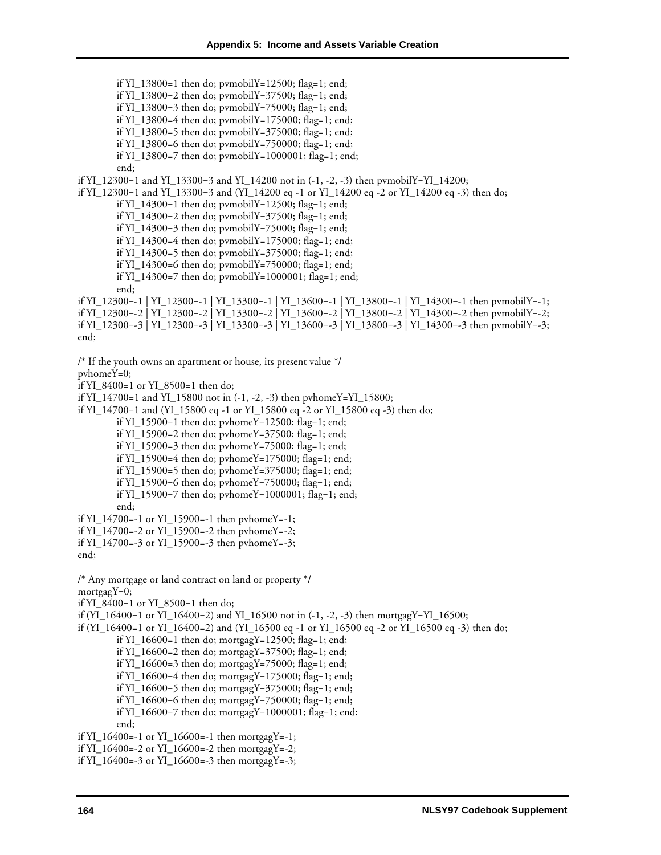if YI\_13800=1 then do; pvmobilY=12500; flag=1; end; if YI\_13800=2 then do; pvmobilY=37500; flag=1; end; if YI\_13800=3 then do; pymobilY=75000; flag=1; end; if YI\_13800=4 then do;  $pvmobilY=175000$ ; flag=1; end; if YI\_13800=5 then do; pvmobilY=375000; flag=1; end; if YI\_13800=6 then do; pvmobilY=750000; flag=1; end; if YI\_13800=7 then do;  $pvmobil$  = 1000001; flag=1; end; end; if YI\_12300=1 and YI\_13300=3 and YI\_14200 not in (-1, -2, -3) then pvmobilY=YI\_14200; if YI\_12300=1 and YI\_13300=3 and (YI\_14200 eq -1 or YI\_14200 eq -2 or YI\_14200 eq -3) then do; if YI\_14300=1 then do; pvmobilY=12500; flag=1; end; if YI\_14300=2 then do; pvmobilY=37500; flag=1; end; if YI\_14300=3 then do; pvmobilY=75000; flag=1; end; if YI\_14300=4 then do; pvmobilY=175000; flag=1; end; if YI\_14300=5 then do; pvmobilY=375000; flag=1; end; if YI\_14300=6 then do; pvmobilY=750000; flag=1; end; if YI\_14300=7 then do;  $pvmobil$  = 1000001; flag=1; end; end; if YI\_12300=-1 | YI\_12300=-1 | YI\_13300=-1 | YI\_13600=-1 | YI\_13800=-1 | YI\_14300=-1 then pvmobilY=-1; if YI\_12300=-2 | YI\_12300=-2 | YI\_13300=-2 | YI\_13600=-2 | YI\_13800=-2 | YI\_14300=-2 then pvmobilY=-2; if YI\_12300=-3 | YI\_12300=-3 | YI\_13300=-3 | YI\_13600=-3 | YI\_13800=-3 | YI\_14300=-3 then pvmobilY=-3; end; /\* If the youth owns an apartment or house, its present value \*/ pvhomeY=0; if YI\_8400=1 or YI\_8500=1 then do; if YI\_14700=1 and YI\_15800 not in (-1, -2, -3) then pvhomeY=YI\_15800; if YI\_14700=1 and (YI\_15800 eq -1 or YI\_15800 eq -2 or YI\_15800 eq -3) then do; if YI\_15900=1 then do; pvhomeY=12500; flag=1; end; if YI\_15900=2 then do; pvhomeY=37500; flag=1; end; if YI\_15900=3 then do; pvhomeY=75000; flag=1; end; if YI\_15900=4 then do; pvhomeY=175000; flag=1; end; if YI\_15900=5 then do; pvhomeY=375000; flag=1; end; if YI\_15900=6 then do; pvhomeY=750000; flag=1; end; if YI\_15900=7 then do; pvhomeY=1000001; flag=1; end; end; if YI\_14700=-1 or YI\_15900=-1 then pvhomeY=-1; if YI\_14700=-2 or YI\_15900=-2 then pvhomeY=-2; if YI\_14700=-3 or YI\_15900=-3 then pvhomeY=-3; end; /\* Any mortgage or land contract on land or property \*/ mortgagY=0; if YI\_8400=1 or YI\_8500=1 then do; if  $(YI_1 16400=1$  or  $YI_1 16400=2$ ) and  $YI_1 16500$  not in  $(-1, -2, -3)$  then mortgagY=YI\_16500; if (YI\_16400=1 or YI\_16400=2) and (YI\_16500 eq -1 or YI\_16500 eq -2 or YI\_16500 eq -3) then do; if YI\_16600=1 then do; mortgagY=12500; flag=1; end; if YI\_16600=2 then do; mortgagY=37500; flag=1; end; if YI\_16600=3 then do; mortgagY=75000; flag=1; end; if YI\_16600=4 then do; mortgagY=175000; flag=1; end; if YI\_16600=5 then do; mortgagY=375000; flag=1; end; if YI\_16600=6 then do; mortgagY=750000; flag=1; end; if YI\_16600=7 then do; mortgagY=1000001; flag=1; end; end; if YI\_16400=-1 or YI\_16600=-1 then mortgagY=-1; if YI\_16400=-2 or YI\_16600=-2 then mortgagY=-2; if YI\_16400=-3 or YI\_16600=-3 then mortgagY=-3;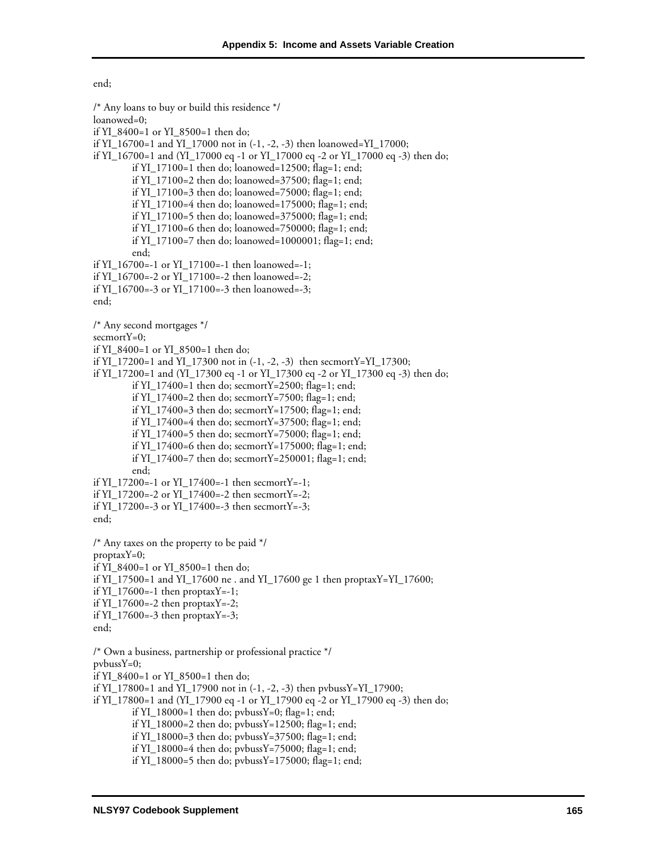end;

/\* Any loans to buy or build this residence \*/ loanowed=0; if YI\_8400=1 or YI\_8500=1 then do; if YI\_16700=1 and YI\_17000 not in (-1, -2, -3) then loanowed=YI\_17000; if YI\_16700=1 and (YI\_17000 eq -1 or YI\_17000 eq -2 or YI\_17000 eq -3) then do; if YI  $17100=1$  then do; loanowed=12500; flag=1; end; if YI\_17100=2 then do; loanowed=37500; flag=1; end; if YI\_17100=3 then do; loanowed=75000; flag=1; end; if YI\_17100=4 then do; loanowed=175000; flag=1; end; if YI\_17100=5 then do; loanowed=375000; flag=1; end; if YI\_17100=6 then do; loanowed=750000; flag=1; end; if YI\_17100=7 then do; loanowed=1000001; flag=1; end; end; if YI\_16700=-1 or YI\_17100=-1 then loanowed=-1; if YI\_16700=-2 or YI\_17100=-2 then loanowed=-2; if YI\_16700=-3 or YI\_17100=-3 then loanowed=-3; end; /\* Any second mortgages \*/ secmortY=0; if YI\_8400=1 or YI\_8500=1 then do; if YI\_17200=1 and YI\_17300 not in (-1, -2, -3) then secmortY=YI\_17300; if YI\_17200=1 and (YI\_17300 eq -1 or YI\_17300 eq -2 or YI\_17300 eq -3) then do; if YI\_17400=1 then do; secmortY=2500; flag=1; end; if YI\_17400=2 then do; secmortY=7500; flag=1; end; if YI\_17400=3 then do; secmortY=17500; flag=1; end; if YI\_17400=4 then do; secmortY=37500; flag=1; end; if YI\_17400=5 then do; secmortY=75000; flag=1; end; if YI\_17400=6 then do; secmortY=175000; flag=1; end; if YI\_17400=7 then do; secmortY=250001; flag=1; end; end; if YI\_17200=-1 or YI\_17400=-1 then secmortY=-1; if YI  $17200=-2$  or YI  $17400=-2$  then secmortY=-2; if YI  $17200=-3$  or YI  $17400=-3$  then secmortY=-3; end; /\* Any taxes on the property to be paid \*/  $proptaxY=0$ ; if YI\_8400=1 or YI\_8500=1 then do; if YI\_17500=1 and YI\_17600 ne . and YI\_17600 ge 1 then proptaxY=YI\_17600; if  $YI_17600=-1$  then proptax $Y=-1$ ; if YI\_17600=-2 then proptaxY=-2; if YI\_17600=-3 then proptaxY=-3; end; /\* Own a business, partnership or professional practice \*/ pvbussY=0; if YI\_8400=1 or YI\_8500=1 then do; if YI\_17800=1 and YI\_17900 not in (-1, -2, -3) then pvbussY=YI\_17900; if YI\_17800=1 and (YI\_17900 eq -1 or YI\_17900 eq -2 or YI\_17900 eq -3) then do; if YI\_18000=1 then do;  $pvbussY=0$ ; flag=1; end; if YI\_18000=2 then do; pvbussY=12500; flag=1; end; if YI\_18000=3 then do; pvbussY=37500; flag=1; end; if YI\_18000=4 then do; pvbussY=75000; flag=1; end; if YI\_18000=5 then do; pvbussY=175000; flag=1; end;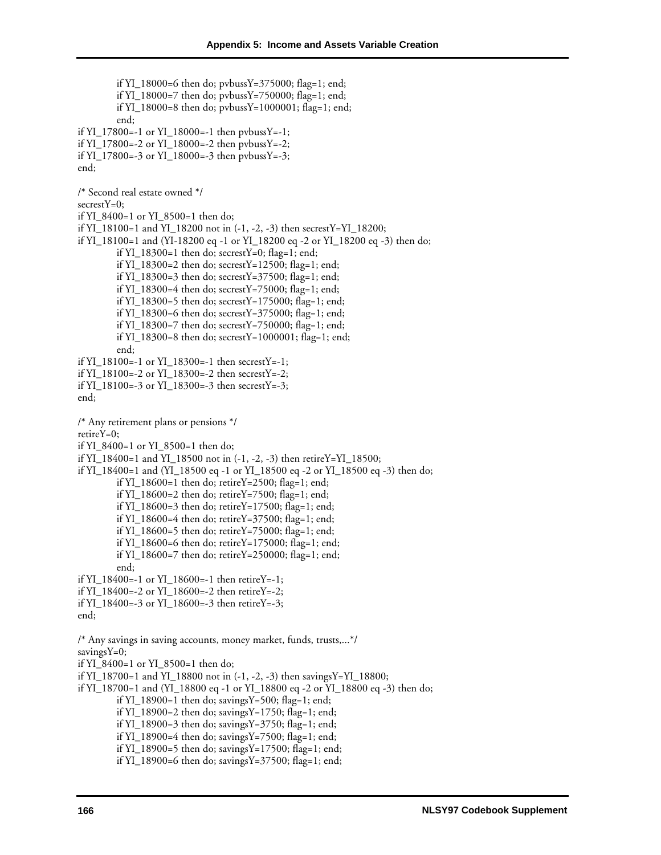if YI\_18000=6 then do; pvbussY=375000; flag=1; end; if YI\_18000=7 then do; pvbussY=750000; flag=1; end; if YI\_18000=8 then do; pvbussY=1000001; flag=1; end; end; if YI\_17800=-1 or YI\_18000=-1 then pvbussY=-1; if YI\_17800=-2 or YI\_18000=-2 then pvbussY=-2; if YI  $17800=-3$  or YI  $18000=-3$  then pvbussY=-3; end; /\* Second real estate owned \*/ secrestY=0; if YI\_8400=1 or YI\_8500=1 then do; if YI\_18100=1 and YI\_18200 not in (-1, -2, -3) then secrestY=YI\_18200; if YI\_18100=1 and (YI-18200 eq -1 or YI\_18200 eq -2 or YI\_18200 eq -3) then do; if YI\_18300=1 then do; secrestY=0; flag=1; end; if YI\_18300=2 then do; secrestY=12500; flag=1; end; if YI\_18300=3 then do; secrestY=37500; flag=1; end; if YI\_18300=4 then do; secrestY=75000; flag=1; end; if YI\_18300=5 then do; secrestY=175000; flag=1; end; if YI\_18300=6 then do; secrestY=375000; flag=1; end; if YI\_18300=7 then do; secrestY=750000; flag=1; end; if YI\_18300=8 then do; secrestY=1000001; flag=1; end; end; if YI\_18100=-1 or YI\_18300=-1 then secrestY=-1; if YI\_18100=-2 or YI\_18300=-2 then secrestY=-2; if YI\_18100=-3 or YI\_18300=-3 then secrestY=-3; end; /\* Any retirement plans or pensions \*/ retireY=0; if YI\_8400=1 or YI\_8500=1 then do; if YI\_18400=1 and YI\_18500 not in (-1, -2, -3) then retireY=YI\_18500; if YI\_18400=1 and (YI\_18500 eq -1 or YI\_18500 eq -2 or YI\_18500 eq -3) then do; if YI\_18600=1 then do; retireY=2500; flag=1; end; if YI\_18600=2 then do; retireY=7500; flag=1; end; if YI  $18600=3$  then do; retireY=17500; flag=1; end; if YI\_18600=4 then do; retireY=37500; flag=1; end; if YI\_18600=5 then do; retireY=75000; flag=1; end; if YI\_18600=6 then do; retireY=175000; flag=1; end; if YI\_18600=7 then do; retireY=250000; flag=1; end; end; if YI\_18400=-1 or YI\_18600=-1 then retireY=-1; if YI\_18400=-2 or YI\_18600=-2 then retireY=-2; if YI\_18400=-3 or YI\_18600=-3 then retireY=-3; end; /\* Any savings in saving accounts, money market, funds, trusts,...\*/ savingsY=0; if YI\_8400=1 or YI\_8500=1 then do; if YI\_18700=1 and YI\_18800 not in (-1, -2, -3) then savingsY=YI\_18800; if YI\_18700=1 and (YI\_18800 eq -1 or YI\_18800 eq -2 or YI\_18800 eq -3) then do; if YI\_18900=1 then do; savingsY=500; flag=1; end; if YI\_18900=2 then do; savingsY=1750; flag=1; end; if YI\_18900=3 then do; savingsY=3750; flag=1; end; if YI\_18900=4 then do; savingsY=7500; flag=1; end; if YI\_18900=5 then do; savingsY=17500; flag=1; end; if YI\_18900=6 then do; savingsY=37500; flag=1; end;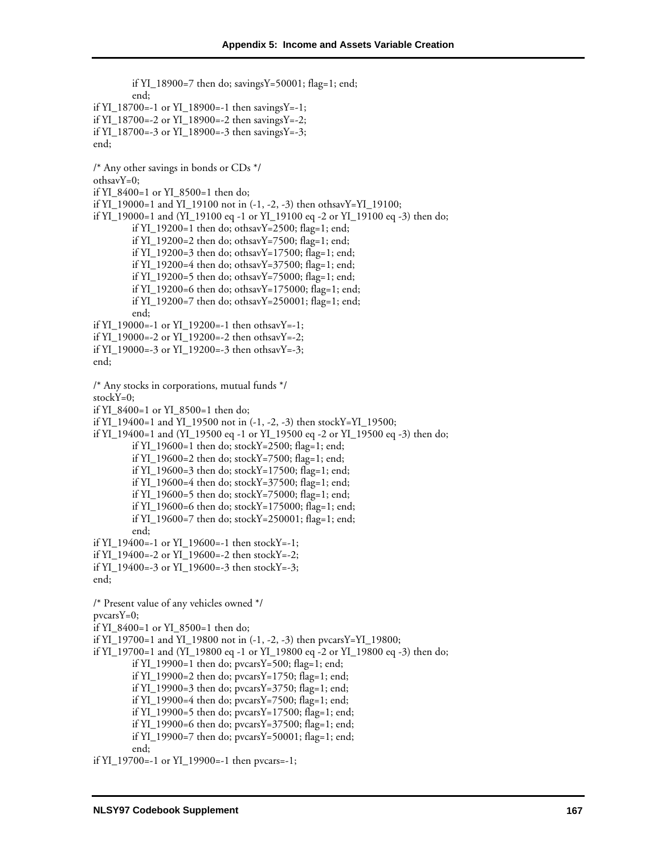if YI\_18900=7 then do; savingsY=50001; flag=1; end; end; if YI\_18700=-1 or YI\_18900=-1 then savingsY=-1; if YI\_18700=-2 or YI\_18900=-2 then savingsY=-2; if YI\_18700=-3 or YI\_18900=-3 then savingsY=-3; end; /\* Any other savings in bonds or CDs \*/ othsavY=0; if YI\_8400=1 or YI\_8500=1 then do; if YI\_19000=1 and YI\_19100 not in (-1, -2, -3) then othsavY=YI\_19100; if YI\_19000=1 and (YI\_19100 eq -1 or YI\_19100 eq -2 or YI\_19100 eq -3) then do; if YI\_19200=1 then do; othsavY=2500; flag=1; end; if YI\_19200=2 then do; othsavY=7500; flag=1; end; if YI\_19200=3 then do; othsavY=17500; flag=1; end; if YI  $19200=4$  then do; othsavY=37500; flag=1; end; if YI\_19200=5 then do; othsavY=75000; flag=1; end; if YI\_19200=6 then do; othsavY=175000; flag=1; end; if YI\_19200=7 then do; othsavY=250001; flag=1; end; end; if YI\_19000=-1 or YI\_19200=-1 then othsavY=-1; if YI\_19000=-2 or YI\_19200=-2 then othsavY=-2; if YI\_19000=-3 or YI\_19200=-3 then othsavY=-3; end; /\* Any stocks in corporations, mutual funds \*/ stockY=0; if YI\_8400=1 or YI\_8500=1 then do; if YI\_19400=1 and YI\_19500 not in (-1, -2, -3) then stockY=YI\_19500; if YI\_19400=1 and (YI\_19500 eq -1 or YI\_19500 eq -2 or YI\_19500 eq -3) then do; if YI\_19600=1 then do; stockY=2500; flag=1; end; if YI\_19600=2 then do; stockY=7500; flag=1; end; if YI  $19600=3$  then do; stockY=17500; flag=1; end; if YI\_19600=4 then do; stockY=37500; flag=1; end; if YI\_19600=5 then do; stockY=75000; flag=1; end; if YI  $19600=6$  then do; stockY=175000; flag=1; end; if YI\_19600=7 then do; stockY=250001; flag=1; end; end; if YI\_19400=-1 or YI\_19600=-1 then stockY=-1; if YI  $19400=-2$  or YI  $19600=-2$  then stockY=-2; if YI\_19400=-3 or YI\_19600=-3 then stockY=-3; end; /\* Present value of any vehicles owned \*/  $pvcarsY=0$ ; if YI\_8400=1 or YI\_8500=1 then do; if YI\_19700=1 and YI\_19800 not in (-1, -2, -3) then pvcarsY=YI\_19800; if YI\_19700=1 and (YI\_19800 eq -1 or YI\_19800 eq -2 or YI\_19800 eq -3) then do; if YI\_19900=1 then do;  $pvcarsY=500$ ; flag=1; end; if YI\_19900=2 then do; pvcarsY=1750; flag=1; end; if YI\_19900=3 then do; pvcarsY=3750; flag=1; end; if YI\_19900=4 then do; pvcarsY=7500; flag=1; end; if YI\_19900=5 then do; pvcarsY=17500; flag=1; end; if YI\_19900=6 then do; pvcarsY=37500; flag=1; end; if YI\_19900=7 then do; pvcarsY=50001; flag=1; end; end;

if YI\_19700=-1 or YI\_19900=-1 then pvcars=-1;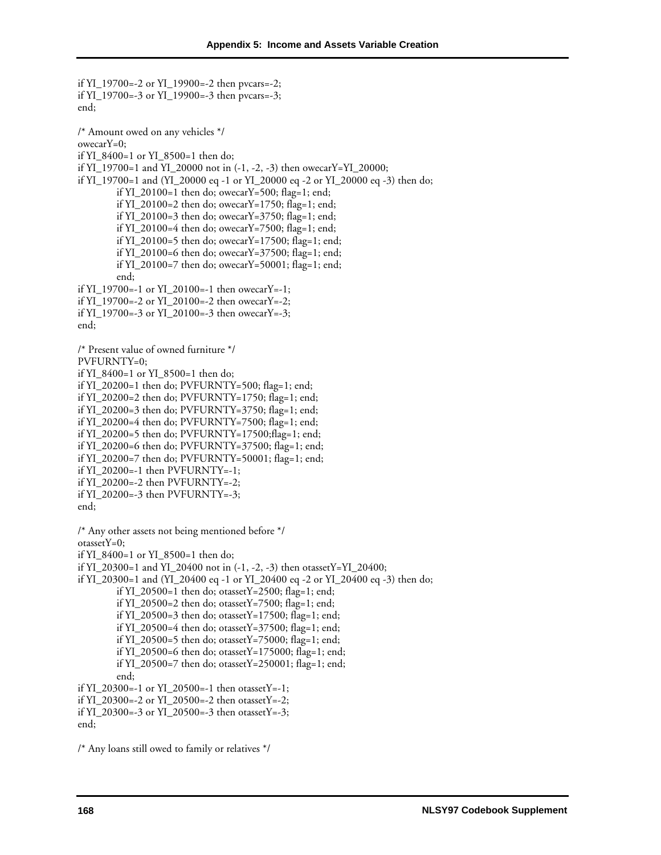if YI\_19700=-2 or YI\_19900=-2 then pvcars=-2; if YI\_19700=-3 or YI\_19900=-3 then pvcars=-3; end; /\* Amount owed on any vehicles \*/ owecarY=0; if YI  $8400=1$  or YI  $8500=1$  then do; if YI\_19700=1 and YI\_20000 not in (-1, -2, -3) then owecarY=YI\_20000; if YI\_19700=1 and (YI\_20000 eq -1 or YI\_20000 eq -2 or YI\_20000 eq -3) then do; if YI\_20100=1 then do; owecarY=500; flag=1; end; if YI\_20100=2 then do; owecarY=1750; flag=1; end; if YI\_20100=3 then do; owecarY=3750; flag=1; end; if YI\_20100=4 then do; owecarY=7500; flag=1; end; if YI\_20100=5 then do; owecarY=17500; flag=1; end; if YI\_20100=6 then do; owecarY=37500; flag=1; end; if YI\_20100=7 then do; owecarY=50001; flag=1; end; end; if YI\_19700=-1 or YI\_20100=-1 then owecarY=-1; if YI\_19700=-2 or YI\_20100=-2 then owecarY=-2; if YI\_19700=-3 or YI\_20100=-3 then owecarY=-3; end; /\* Present value of owned furniture \*/ PVFURNTY=0; if YI\_8400=1 or YI\_8500=1 then do; if YI\_20200=1 then do; PVFURNTY=500; flag=1; end; if YI\_20200=2 then do; PVFURNTY=1750; flag=1; end; if YI\_20200=3 then do; PVFURNTY=3750; flag=1; end; if YI\_20200=4 then do; PVFURNTY=7500; flag=1; end; if YI\_20200=5 then do; PVFURNTY=17500;flag=1; end; if YI\_20200=6 then do; PVFURNTY=37500; flag=1; end; if YI\_20200=7 then do; PVFURNTY=50001; flag=1; end; if YI  $20200=-1$  then PVFURNTY=-1; if YI\_20200=-2 then PVFURNTY=-2; if YI\_20200=-3 then PVFURNTY=-3; end; /\* Any other assets not being mentioned before \*/  $otassetY=0$ ; if YI  $8400=1$  or YI  $8500=1$  then do; if YI\_20300=1 and YI\_20400 not in (-1, -2, -3) then otassetY=YI\_20400; if YI\_20300=1 and (YI\_20400 eq -1 or YI\_20400 eq -2 or YI\_20400 eq -3) then do; if YI\_20500=1 then do; otassetY=2500; flag=1; end; if YI\_20500=2 then do; otassetY=7500; flag=1; end; if YI\_20500=3 then do; otassetY=17500; flag=1; end; if YI\_20500=4 then do; otassetY=37500; flag=1; end; if YI\_20500=5 then do; otassetY=75000; flag=1; end; if YI\_20500=6 then do; otassetY=175000; flag=1; end; if YI\_20500=7 then do; otassetY=250001; flag=1; end; end; if YI\_20300=-1 or YI\_20500=-1 then otassetY=-1; if YI\_20300=-2 or YI\_20500=-2 then otassetY=-2; if YI\_20300=-3 or YI\_20500=-3 then otassetY=-3; end;

/\* Any loans still owed to family or relatives \*/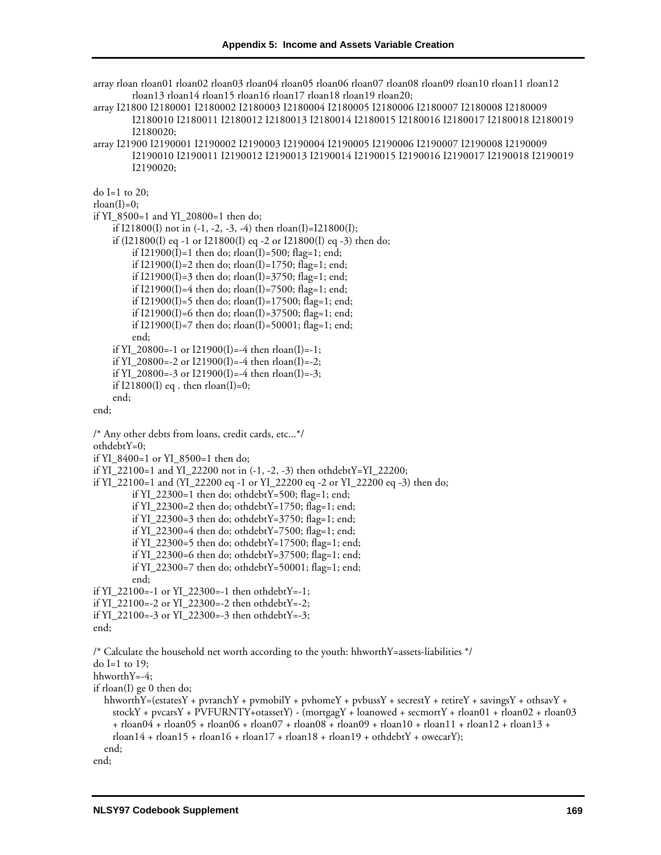array rloan rloan01 rloan02 rloan03 rloan04 rloan05 rloan06 rloan07 rloan08 rloan09 rloan10 rloan11 rloan12 rloan13 rloan14 rloan15 rloan16 rloan17 rloan18 rloan19 rloan20;

array I21800 I2180001 I2180002 I2180003 I2180004 I2180005 I2180006 I2180007 I2180008 I2180009 I2180010 I2180011 I2180012 I2180013 I2180014 I2180015 I2180016 I2180017 I2180018 I2180019 I2180020;

array I21900 I2190001 I2190002 I2190003 I2190004 I2190005 I2190006 I2190007 I2190008 I2190009 I2190010 I2190011 I2190012 I2190013 I2190014 I2190015 I2190016 I2190017 I2190018 I2190019 I2190020;

do I=1 to 20;

```
rloan(I)=0;
```
if YI\_8500=1 and YI\_20800=1 then do;

if  $I21800(I)$  not in  $(-1, -2, -3, -4)$  then rloan $(I)=I21800(I);$ if (I21800(I) eq -1 or I21800(I) eq -2 or I21800(I) eq -3) then do; if  $I21900(I)=1$  then do;  $r loan(I)=500$ ;  $flag=1$ ; end; if  $I21900(I)=2$  then do;  $r\cdot I0an(I)=1750$ ;  $flag=1$ ; end; if  $I21900(I)=3$  then do;  $r loan(I)=3750$ ;  $flag=1$ ; end; if  $I21900(I)=4$  then do;  $r\text{loan}(I)=7500$ ; flag=1; end; if  $I21900(I)=5$  then do;  $r loan(I)=17500$ ; flag=1; end; if I21900(I)=6 then do; rloan(I)=37500; flag=1; end; if I21900(I)=7 then do; rloan(I)=50001; flag=1; end; end; if YI\_20800=-1 or  $I21900(I)$ =-4 then rloan(I)=-1; if YI 20800=-2 or I21900(I)=-4 then rloan(I)=-2; if YI\_20800=-3 or I21900(I)=-4 then rloan(I)=-3;

if I21800(I) eq. then  $r \cdot \text{loan}(I) = 0$ ;

end;

end;

```
/* Any other debts from loans, credit cards, etc...*/ 
othdebtY=0; 
if YI_8400=1 or YI_8500=1 then do; 
if YI_22100=1 and YI_22200 not in (-1, -2, -3) then othdebtY=YI_22200;
if YI_22100=1 and (YI_22200 eq -1 or YI_22200 eq -2 or YI_22200 eq -3) then do; 
           if YI_22300=1 then do; othdebtY=500; flag=1; end;
           if YI 22300=2 then do; othdebtY=1750; flag=1; end;
           if YI_22300=3 then do; othdebtY=3750; flag=1; end; 
           if YI_22300=4 then do; othdebtY=7500; flag=1; end; 
           if YI_22300=5 then do; othdebtY=17500; flag=1; end; 
           if YI 22300=6 then do; othdebtY=37500; flag=1; end;
           if YI_22300=7 then do; othdebtY=50001; flag=1; end; 
           end; 
if YI_22100=-1 or YI_22300=-1 then othdebtY=-1; 
if YI_22100=-2 or YI_22300=-2 then othdebtY=-2; 
if YI_22100=-3 or YI_22300=-3 then othdebtY=-3; 
end; 
/* Calculate the household net worth according to the youth: hhworthY=assets-liabilities */ 
do I=1 to 19; 
hhworthY=-4; 
if rloan(I) ge 0 then do; 
   hhworthY=(estatesY + pvranchY + pvmobilY + pvhomeY + pvbussY + secrestY + retireY + savingsY + othsavY +
      stockY + pvcarsY + PVFURNTY+otassetY) - (mortgagY + loanowed + secmortY + rloan01 + rloan02 + rloan03 
      + rloan04 + rloan05 + rloan06 + rloan07 + rloan08 + rloan09 + rloan10 + rloan11 + rloan12 + rloan13 + 
      r \cdot \text{r} \cdot \text{r} \cdot \text{r} \cdot \text{r} \cdot \text{r} \cdot \text{r} \cdot \text{r} \cdot \text{r} \cdot \text{r} \cdot \text{r} \cdot \text{r} \cdot \text{r} \cdot \text{r} \cdot \text{r} \cdot \text{r} \cdot \text{r} \cdot \text{r} \cdot \text{r} \cdot \text{r} \cdot \text{r} \cdot \text{r} \cdot \text{r} \cdot \text{r} \cdot \text{r} \cdot \text{r} \cdot \text{r} \cdot \text{r} \cdot \text{r} \cdot \text{r} \cdot \text{r} \cdot \text{r} \cdot end; 
end;
```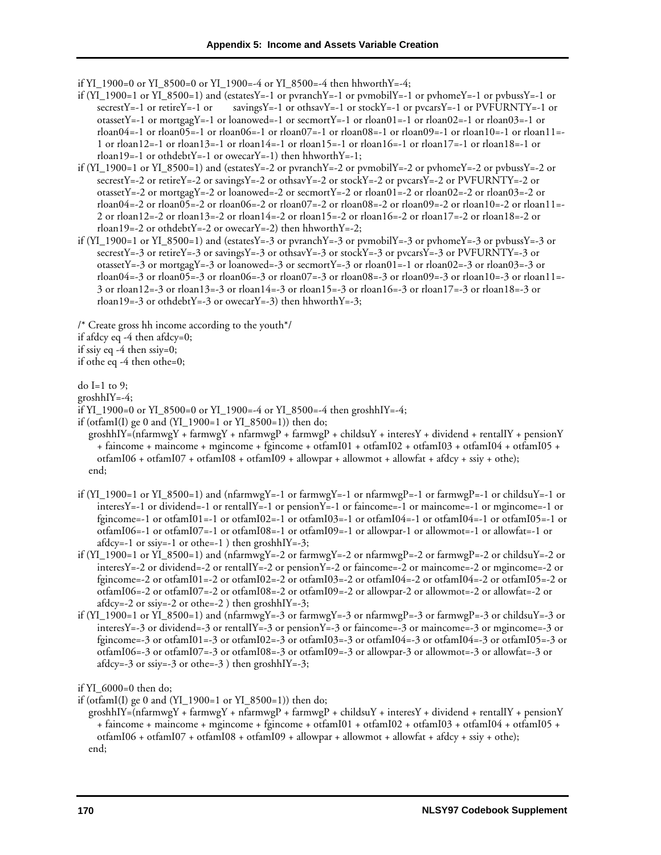if YI\_1900=0 or YI\_8500=0 or YI\_1900=-4 or YI\_8500=-4 then hhworthY=-4;

- if  $(YI_1900=1$  or  $YI_8500=1$ ) and  $(estatesY=-1$  or pvranch $Y=-1$  or pvmobil $Y=-1$  or pvhome $Y=-1$  or pvbuss $Y=-1$  or secrestY=-1 or retireY=-1 or savingsY=-1 or othsavY=-1 or stockY=-1 or pvcarsY=-1 or PVFURNTY=-1 or otassetY=-1 or mortgagY=-1 or loanowed=-1 or secmortY=-1 or rloan01=-1 or rloan02=-1 or rloan03=-1 or rloan04=-1 or rloan05=-1 or rloan06=-1 or rloan07=-1 or rloan08=-1 or rloan09=-1 or rloan10=-1 or rloan11=- 1 or rloan $12$ =-1 or rloan $13$ =-1 or rloan $14$ =-1 or rloan $15$ =-1 or rloan $16$ =-1 or rloan $17$ =-1 or rloan $18$ =-1 or rloan19=-1 or othdebtY=-1 or owecarY=-1) then hhworthY=-1;
- if  $(YI_1900=1$  or  $YI_8500=1$ ) and (estatesY=-2 or pvranchY=-2 or pvmobilY=-2 or pvhomeY=-2 or pvbussY=-2 or secrestY=-2 or retireY=-2 or savingsY=-2 or othsavY=-2 or stockY=-2 or pvcarsY=-2 or PVFURNTY=-2 or otassetY=-2 or mortgagY=-2 or loanowed=-2 or secmortY=-2 or rloan01=-2 or rloan02=-2 or rloan03=-2 or rloan04=-2 or rloan05=-2 or rloan06=-2 or rloan07=-2 or rloan08=-2 or rloan09=-2 or rloan10=-2 or rloan11=- 2 or rloan12=-2 or rloan13=-2 or rloan14=-2 or rloan15=-2 or rloan16=-2 or rloan17=-2 or rloan18=-2 or rloan19=-2 or othdebtY=-2 or owecarY=-2) then hhworthY=-2;
- if  $(YI_1900=1$  or  $YI_8500=1$ ) and (estatesY=-3 or pvranchY=-3 or pvmobilY=-3 or pvhomeY=-3 or pvbussY=-3 or secrestY=-3 or retireY=-3 or savingsY=-3 or othsavY=-3 or stockY=-3 or pvcarsY=-3 or PVFURNTY=-3 or otassetY=-3 or mortgagY=-3 or loanowed=-3 or secmortY=-3 or rloan01=-1 or rloan02=-3 or rloan03=-3 or rloan04=-3 or rloan05=-3 or rloan06=-3 or rloan07=-3 or rloan08=-3 or rloan09=-3 or rloan10=-3 or rloan11=- 3 or rloan12=-3 or rloan13=-3 or rloan14=-3 or rloan15=-3 or rloan16=-3 or rloan17=-3 or rloan18=-3 or rloan19=-3 or othdebtY=-3 or owecarY=-3) then hhworthY=-3;

/\* Create gross hh income according to the youth\*/

if afdcy eq -4 then afdcy=0;

if ssiy eq -4 then ssiy=0;

if othe eq -4 then othe=0;

do I=1 to 9;

groshhIY=-4;

if YI\_1900=0 or YI\_8500=0 or YI\_1900=-4 or YI\_8500=-4 then groshhIY=-4;

if (otfamI(I) ge 0 and  $(YI_1900=1$  or  $YI_8500=1)$ ) then do;

- $groshhY=(nfarmwgY + farmwgY + nfarmwgP + farmwgP + childsuY + interesY + dividend + rentalIY + pensionY$ + faincome + maincome + mgincome + fgincome + otfamI01 + otfamI02 + otfamI03 + otfamI04 + otfamI05 + otfamI06 + otfamI07 + otfamI08 + otfamI09 + allowpar + allowmot + allowfat + afdcy + ssiy + othe); end;
- if  $(YI_1900=1$  or  $YI_8500=1$ ) and  $(nfarmwgY=-1$  or  $farmwgY=-1$  or  $nfarmwgP=-1$  or  $farmwgP=-1$  or childsuY=-1 or interesY=-1 or dividend=-1 or rentalIY=-1 or pensionY=-1 or faincome=-1 or maincome=-1 or mgincome=-1 or fgincome=-1 or otfamI01=-1 or otfamI02=-1 or otfamI03=-1 or otfamI04=-1 or otfamI04=-1 or otfamI05=-1 or otfamI06=-1 or otfamI07=-1 or otfamI08=-1 or otfamI09=-1 or allowpar-1 or allowmot=-1 or allowfat=-1 or  $afdcy=-1$  or ssiy=-1 or othe=-1 ) then groshhIY=-3;
- if (YI\_1900=1 or YI\_8500=1) and (nfarmwgY=-2 or farmwgY=-2 or nfarmwgP=-2 or farmwgP=-2 or childsuY=-2 or interesY=-2 or dividend=-2 or rentalIY=-2 or pensionY=-2 or faincome=-2 or maincome=-2 or mgincome=-2 or fgincome=-2 or otfamI01=-2 or otfamI02=-2 or otfamI03=-2 or otfamI04=-2 or otfamI04=-2 or otfamI05=-2 or otfamI06=-2 or otfamI07=-2 or otfamI08=-2 or otfamI09=-2 or allowpar-2 or allowmot=-2 or allowfat=-2 or  $afdcy=-2$  or ssiy=-2 or othe=-2 ) then groshhIY=-3;
- if  $(YI_1900=1$  or  $YI_8500=1$ ) and  $(nfarmwgY=-3 \text{ or } farmwgY=-3 \text{ or } farmwgP=-3 \text{ or } farmwgP=-3 \text{ or } childsuY=-3 \text{ or }$ interesY=-3 or dividend=-3 or rentalIY=-3 or pensionY=-3 or faincome=-3 or maincome=-3 or mgincome=-3 or fgincome=-3 or otfamI01=-3 or otfamI02=-3 or otfamI03=-3 or otfamI04=-3 or otfamI04=-3 or otfamI05=-3 or otfamI06=-3 or otfamI07=-3 or otfamI08=-3 or otfamI09=-3 or allowpar-3 or allowmot=-3 or allowfat=-3 or afdcy=-3 or ssiy=-3 or othe=-3 ) then groshhIY=-3;

if YI\_6000=0 then do;

if (otfamI(I) ge 0 and (YI\_1900=1 or YI\_8500=1)) then do;

 groshhIY=(nfarmwgY + farmwgY + nfarmwgP + farmwgP + childsuY + interesY + dividend + rentalIY + pensionY + faincome + maincome + mgincome + fgincome + otfamI01 + otfamI02 + otfamI03 + otfamI04 + otfamI05 + otfamI06 + otfamI07 + otfamI08 + otfamI09 + allowpar + allowmot + allowfat + afdcy + ssiy + othe); end;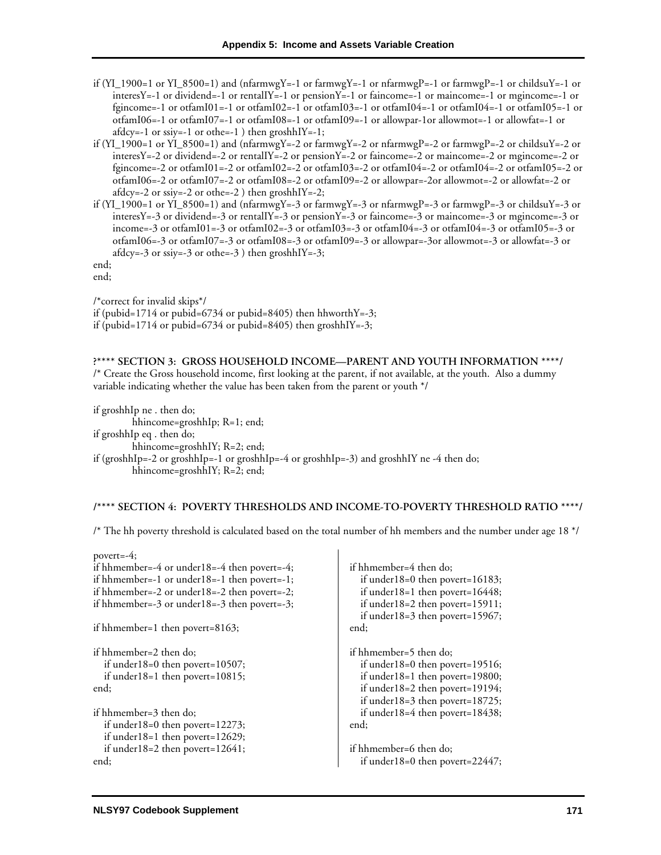- if (YI\_1900=1 or YI\_8500=1) and (nfarmwgY=-1 or farmwgY=-1 or nfarmwgP=-1 or farmwgP=-1 or childsuY=-1 or interesY=-1 or dividend=-1 or rentalIY=-1 or pensionY=-1 or faincome=-1 or maincome=-1 or mgincome=-1 or fgincome=-1 or otfamI01=-1 or otfamI02=-1 or otfamI03=-1 or otfamI04=-1 or otfamI04=-1 or otfamI05=-1 or otfamI06=-1 or otfamI07=-1 or otfamI08=-1 or otfamI09=-1 or allowpar-1or allowmot=-1 or allowfat=-1 or  $afdcy=-1$  or ssiy=-1 or othe=-1 ) then groshhIY=-1;
- if (YI\_1900=1 or YI\_8500=1) and (nfarmwgY=-2 or farmwgY=-2 or nfarmwgP=-2 or farmwgP=-2 or childsuY=-2 or interesY=-2 or dividend=-2 or rentalIY=-2 or pensionY=-2 or faincome=-2 or maincome=-2 or mgincome=-2 or fgincome=-2 or otfamI01=-2 or otfamI02=-2 or otfamI03=-2 or otfamI04=-2 or otfamI04=-2 or otfamI05=-2 or otfamI06=-2 or otfamI07=-2 or otfamI08=-2 or otfamI09=-2 or allowpar=-2or allowmot=-2 or allowfat=-2 or afdcy=-2 or ssiy=-2 or othe=-2 ) then groshhIY=-2;
- if (YI\_1900=1 or YI\_8500=1) and (nfarmwgY=-3 or farmwgY=-3 or nfarmwgP=-3 or farmwgP=-3 or childsuY=-3 or interesY=-3 or dividend=-3 or rentalIY=-3 or pensionY=-3 or faincome=-3 or maincome=-3 or mgincome=-3 or income=-3 or otfamI01=-3 or otfamI02=-3 or otfamI03=-3 or otfamI04=-3 or otfamI04=-3 or otfamI05=-3 or otfamI06=-3 or otfamI07=-3 or otfamI08=-3 or otfamI09=-3 or allowpar=-3or allowmot=-3 or allowfat=-3 or afdcy=-3 or ssiy=-3 or othe=-3 ) then groshhIY=-3;

end; end;

/\*correct for invalid skips\*/ if (pubid=1714 or pubid=6734 or pubid=8405) then hhworth  $Y=-3$ ; if (pubid=1714 or pubid=6734 or pubid=8405) then groshhIY=-3;

**?\*\*\*\* SECTION 3: GROSS HOUSEHOLD INCOME—PARENT AND YOUTH INFORMATION \*\*\*\*/**  /\* Create the Gross household income, first looking at the parent, if not available, at the youth. Also a dummy variable indicating whether the value has been taken from the parent or youth \*/

if groshhIp ne . then do; hhincome=groshhIp; R=1; end; if groshhIp eq . then do; hhincome=groshhIY; R=2; end; if (groshhIp=-2 or groshhIp=-1 or groshhIp=-4 or groshhIp=-3) and groshhIY ne -4 then do; hhincome=groshhIY; R=2; end;

## **/\*\*\*\* SECTION 4: POVERTY THRESHOLDS AND INCOME-TO-POVERTY THRESHOLD RATIO \*\*\*\*/**

/\* The hh poverty threshold is calculated based on the total number of hh members and the number under age 18 \*/

| povert=-4;                                   |                                        |
|----------------------------------------------|----------------------------------------|
| if hhmember=-4 or under18=-4 then povert=-4; | if hhmember=4 then do;                 |
| if hhmember=-1 or under18=-1 then povert=-1; | if under $18=0$ then povert= $16183$ ; |
| if hhmember=-2 or under18=-2 then povert=-2; | if under $18=1$ then povert= $16448$ ; |
| if hhmember=-3 or under18=-3 then povert=-3; | if under $18=2$ then povert= $15911$ ; |
|                                              | if under $18=3$ then povert= $15967$ ; |
| if hhmember=1 then povert=8163;              | end;                                   |
| if hhmember=2 then do;                       | if hhmember=5 then do;                 |
| if under $18=0$ then povert= $10507$ ;       | if under $18=0$ then povert= $19516$ ; |
| if under $18=1$ then povert= $10815$ ;       | if under $18=1$ then povert= $19800$ ; |
| end;                                         | if under $18=2$ then povert= $19194$ ; |
|                                              | if under $18=3$ then povert= $18725$ ; |
| if hhmember=3 then do;                       | if under $18=4$ then povert= $18438$ ; |
| if under $18=0$ then povert= $12273$ ;       | end;                                   |
| if under $18=1$ then povert= $12629$ ;       |                                        |
| if under $18=2$ then povert= $12641$ ;       | if hhmember=6 then do;                 |
| end;                                         | if under $18=0$ then povert= $22447$ ; |
|                                              |                                        |